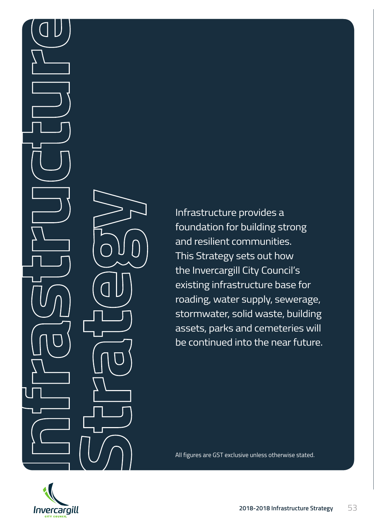Infrastructure provides a foundation for building strong and resilient communities. This Strategy sets out how the Invercargill City Council's existing infrastructure base for roading, water supply, sewerage, stormwater, solid waste, building assets, parks and cemeteries will be continued into the near future.

**2018-2018** All figures are GST exclusive unless otherwise stated.

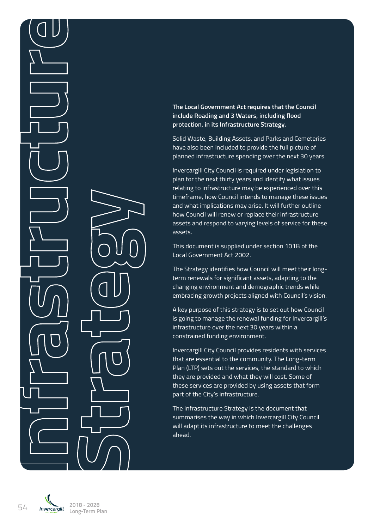**The Local Government Act requires that the Council include Roading and 3 Waters, including flood protection, in its Infrastructure Strategy.** 

Solid Waste, Building Assets, and Parks and Cemeteries have also been included to provide the full picture of planned infrastructure spending over the next 30 years.

Invercargill City Council is required under legislation to plan for the next thirty years and identify what issues relating to infrastructure may be experienced over this timeframe, how Council intends to manage these issues and what implications may arise. It will further outline how Council will renew or replace their infrastructure assets and respond to varying levels of service for these assets.

This document is supplied under section 101B of the Local Government Act 2002.

The Strategy identifies how Council will meet their longterm renewals for significant assets, adapting to the changing environment and demographic trends while embracing growth projects aligned with Council's vision.

A key purpose of this strategy is to set out how Council is going to manage the renewal funding for Invercargill's infrastructure over the next 30 years within a constrained funding environment.

Invercargill City Council provides residents with services that are essential to the community. The Long-term Plan (LTP) sets out the services, the standard to which they are provided and what they will cost. Some of these services are provided by using assets that form part of the City's infrastructure.

The Infrastructure Strategy is the document that summarises the way in which Invercargill City Council will adapt its infrastructure to meet the challenges ahead.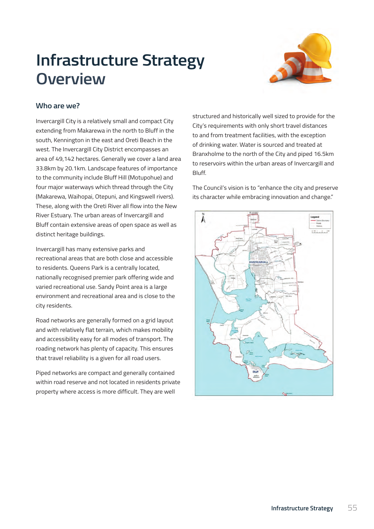## **Infrastructure Strategy Overview** encompasses and 49,142 hectares. Generally we cover a land area 33.8km by 20.1km by 20.1km by 20.1km by 20.1km



#### **Who are we?** Who are we?

Invercargin city's a relatively shilall and compact city's requirements with only short travel distances Invercargill City is a relatively small and compact City extending from Makarewa in the north to Bluff in the south, Kennington in the east and Oreti Beach in the of drinking water. Water is sourced and treated at of the Invercargill City District encompasses and that are both close and that are both close and areas that are both close and accessible to that are both close and acces Branxholme to the north of the Lity and piped 16.5km<br>area of 49,142 hectares. Generally we cover a land area and area and area and area and area and area and area 33.8km by 20.1km. Landscape features of importance and recreational use of invertarym and the dibander area is a large environment and recreational areas of invertarym and to the community include Bluff Hill (Motupohue) and four major waterways which thread through the City (Makarewa, Waihopai, Otepuni, and Kingswell rivers). Road networks are generally formed on a grid layout and These, along with the Oreti River all flow into the New mese, along with the oreth River an now into the Ne<br>River Estuary. The urban areas of Invercargill and mode Estadry. The dream dreas of invertar<sub>o</sub>m and<br>Bluff contain extensive areas of open space as well as distinct heritage buildings.<br>This ensures that the distinct has plenty of capacity. close to the city residents.

Invercargill has many extensive parks and recreational areas that are both close and accessible to residents. Queens Park is a centrally located, Piped networks are compact and generally contained nationally recognised premier park offering wide and varied recreational use. Sandy Point area is a large environment and recreational area and is close to the city residents. reliability is a given for all road users.

Road networks are generally formed on a grid layout and with relatively flat terrain, which makes mobility and accessibility easy for all modes of transport. The roading network has plenty of capacity. This ensures that travel reliability is a given for all road users.

Piped networks are compact and generally contained within road reserve and not located in residents private property where access is more difficult. They are well

structured and historically well sized to provide for the Oretic River all flow into the Structured and historically well sized to provide for the to and from treatment facilities, with the exception of drinking water. Water is sourced and treated at Branxholme to the north of the City and piped 16.5km to reservoirs within the urban areas of Invercargill and Bluff.

> The Council's vision is to "enhance the city and preserve its character while embracing innovation and change."

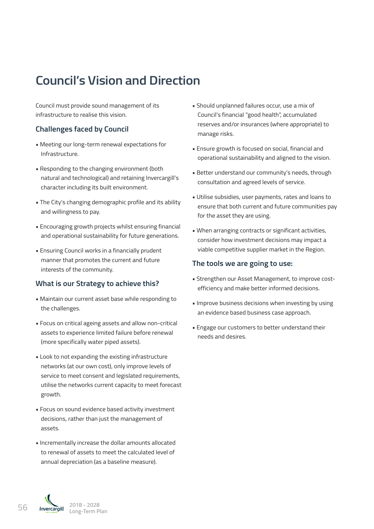## **Council's Vision and Direction**

Council must provide sound management of its infrastructure to realise this vision.

### **Challenges faced by Council**

- Meeting our long-term renewal expectations for Infrastructure.
- Responding to the changing environment (both natural and technological) and retaining Invercargill's character including its built environment.
- The City's changing demographic profile and its ability and willingness to pay.
- Encouraging growth projects whilst ensuring financial and operational sustainability for future generations.
- Ensuring Council works in a financially prudent manner that promotes the current and future interests of the community.

### **What is our Strategy to achieve this?**

- Maintain our current asset base while responding to the challenges.
- Focus on critical ageing assets and allow non-critical assets to experience limited failure before renewal (more specifically water piped assets).
- Look to not expanding the existing infrastructure networks (at our own cost), only improve levels of service to meet consent and legislated requirements, utilise the networks current capacity to meet forecast growth.
- Focus on sound evidence based activity investment decisions, rather than just the management of assets.
- Incrementally increase the dollar amounts allocated to renewal of assets to meet the calculated level of annual depreciation (as a baseline measure).
- Should unplanned failures occur, use a mix of Council's financial "good health", accumulated reserves and/or insurances (where appropriate) to manage risks.
- Ensure growth is focused on social, financial and operational sustainability and aligned to the vision.
- Better understand our community's needs, through consultation and agreed levels of service.
- Utilise subsidies, user payments, rates and loans to ensure that both current and future communities pay for the asset they are using.
- When arranging contracts or significant activities, consider how investment decisions may impact a viable competitive supplier market in the Region.

### **The tools we are going to use:**

- Strengthen our Asset Management, to improve costefficiency and make better informed decisions.
- Improve business decisions when investing by using an evidence based business case approach.
- Engage our customers to better understand their needs and desires.

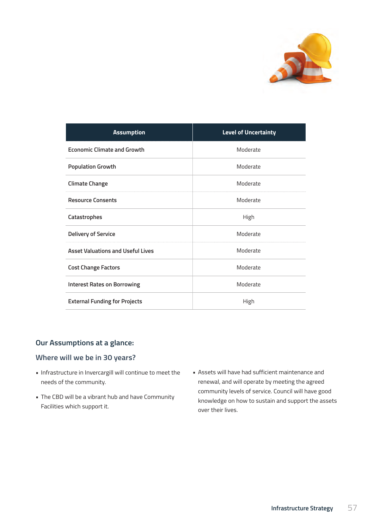

| <b>Assumption</b>                        | <b>Level of Uncertainty</b> |
|------------------------------------------|-----------------------------|
| <b>Economic Climate and Growth</b>       | Moderate                    |
| <b>Population Growth</b>                 | Moderate                    |
| <b>Climate Change</b>                    | Moderate                    |
| <b>Resource Consents</b>                 | Moderate                    |
| Catastrophes                             | High                        |
| <b>Delivery of Service</b>               | Moderate                    |
| <b>Asset Valuations and Useful Lives</b> | Moderate                    |
| <b>Cost Change Factors</b>               | Moderate                    |
| <b>Interest Rates on Borrowing</b>       | Moderate                    |
| <b>External Funding for Projects</b>     | High                        |

## **Our Assumptions at a glance:**

### **Where will we be in 30 years?**

- Infrastructure in Invercargill will continue to meet the needs of the community.
- The CBD will be a vibrant hub and have Community Facilities which support it.
- Assets will have had sufficient maintenance and renewal, and will operate by meeting the agreed community levels of service. Council will have good knowledge on how to sustain and support the assets over their lives.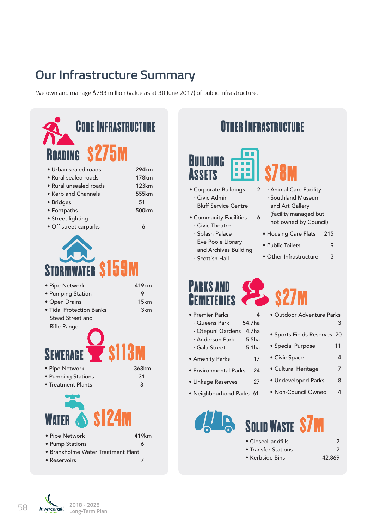## **Our Infrastructure Summary**

We own and manage \$783 million (value as at 30 June 2017) of public infrastructure.



# Building **Assets** s78m

- Corporate Buildings 2 · Civic Admin
- · Bluff Service Centre
- Community Facilities 6
	- · Civic Theatre
	- · Splash Palace
	- · Eve Poole Library and Archives Building
	- · Scottish Hall
- · Animal Care Facility · Southland Museum and Art Gallery
- (facility managed but not owned by Council)
- Housing Care Flats 215
- Public Toilets 9
- Other Infrastructure 3

s27m

- Parks and **CEMETERIES**
- Premier Parks 4
	- · Queens Park 54.7ha
- · Otepuni Gardens 4.7ha
- · Anderson Park 5.5ha
- · Gala Street 5.1ha
- Amenity Parks 17
- Environmental Parks 24
- Linkage Reserves 27
- Neighbourhood Parks 61
- Outdoor Adventure Parks 3
- Sports Fields Reserves 20
- Special Purpose 11
- Civic Space 4
- Cultural Heritage 7
- Undeveloped Parks 8
- Non-Council Owned 4



- Closed landfills 2 • Transfer Stations 2 • Kerbside Bins 42,869
- 
-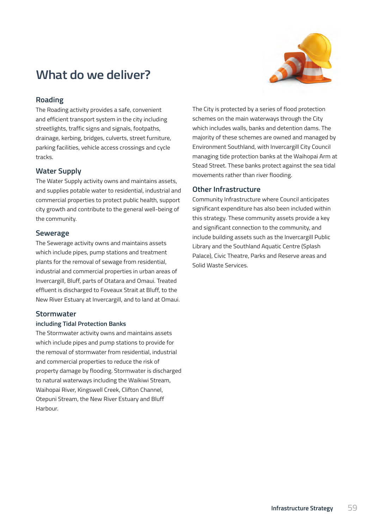

## **What do we deliver?**

### **Roading**

The Roading activity provides a safe, convenient and efficient transport system in the city including streetlights, traffic signs and signals, footpaths, drainage, kerbing, bridges, culverts, street furniture, parking facilities, vehicle access crossings and cycle tracks.

### **Water Supply**

The Water Supply activity owns and maintains assets, and supplies potable water to residential, industrial and commercial properties to protect public health, support city growth and contribute to the general well-being of the community.

### **Sewerage**

The Sewerage activity owns and maintains assets which include pipes, pump stations and treatment plants for the removal of sewage from residential, industrial and commercial properties in urban areas of Invercargill, Bluff, parts of Otatara and Omaui. Treated effluent is discharged to Foveaux Strait at Bluff, to the New River Estuary at Invercargill, and to land at Omaui.

### **Stormwater**

#### **including Tidal Protection Banks**

The Stormwater activity owns and maintains assets which include pipes and pump stations to provide for the removal of stormwater from residential, industrial and commercial properties to reduce the risk of property damage by flooding. Stormwater is discharged to natural waterways including the Waikiwi Stream, Waihopai River, Kingswell Creek, Clifton Channel, Otepuni Stream, the New River Estuary and Bluff Harbour.

The City is protected by a series of flood protection schemes on the main waterways through the City which includes walls, banks and detention dams. The majority of these schemes are owned and managed by Environment Southland, with Invercargill City Council managing tide protection banks at the Waihopai Arm at Stead Street. These banks protect against the sea tidal movements rather than river flooding.

### **Other Infrastructure**

Community Infrastructure where Council anticipates significant expenditure has also been included within this strategy. These community assets provide a key and significant connection to the community, and include building assets such as the Invercargill Public Library and the Southland Aquatic Centre (Splash Palace), Civic Theatre, Parks and Reserve areas and Solid Waste Services.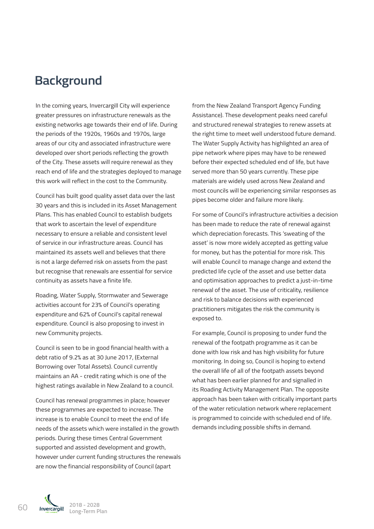## **Background**

In the coming years, Invercargill City will experience greater pressures on infrastructure renewals as the existing networks age towards their end of life. During the periods of the 1920s, 1960s and 1970s, large areas of our city and associated infrastructure were developed over short periods reflecting the growth of the City. These assets will require renewal as they reach end of life and the strategies deployed to manage this work will reflect in the cost to the Community.

Council has built good quality asset data over the last 30 years and this is included in its Asset Management Plans. This has enabled Council to establish budgets that work to ascertain the level of expenditure necessary to ensure a reliable and consistent level of service in our infrastructure areas. Council has maintained its assets well and believes that there is not a large deferred risk on assets from the past but recognise that renewals are essential for service continuity as assets have a finite life.

Roading, Water Supply, Stormwater and Sewerage activities account for 23% of Council's operating expenditure and 62% of Council's capital renewal expenditure. Council is also proposing to invest in new Community projects.

Council is seen to be in good financial health with a debt ratio of 9.2% as at 30 June 2017, (External Borrowing over Total Assets). Council currently maintains an AA - credit rating which is one of the highest ratings available in New Zealand to a council.

Council has renewal programmes in place; however these programmes are expected to increase. The increase is to enable Council to meet the end of life needs of the assets which were installed in the growth periods. During these times Central Government supported and assisted development and growth, however under current funding structures the renewals are now the financial responsibility of Council (apart

from the New Zealand Transport Agency Funding Assistance). These development peaks need careful and structured renewal strategies to renew assets at the right time to meet well understood future demand. The Water Supply Activity has highlighted an area of pipe network where pipes may have to be renewed before their expected scheduled end of life, but have served more than 50 years currently. These pipe materials are widely used across New Zealand and most councils will be experiencing similar responses as pipes become older and failure more likely.

For some of Council's infrastructure activities a decision has been made to reduce the rate of renewal against which depreciation forecasts. This 'sweating of the asset' is now more widely accepted as getting value for money, but has the potential for more risk. This will enable Council to manage change and extend the predicted life cycle of the asset and use better data and optimisation approaches to predict a just-in-time renewal of the asset. The use of criticality, resilience and risk to balance decisions with experienced practitioners mitigates the risk the community is exposed to.

For example, Council is proposing to under fund the renewal of the footpath programme as it can be done with low risk and has high visibility for future monitoring. In doing so, Council is hoping to extend the overall life of all of the footpath assets beyond what has been earlier planned for and signalled in its Roading Activity Management Plan. The opposite approach has been taken with critically important parts of the water reticulation network where replacement is programmed to coincide with scheduled end of life. demands including possible shifts in demand.

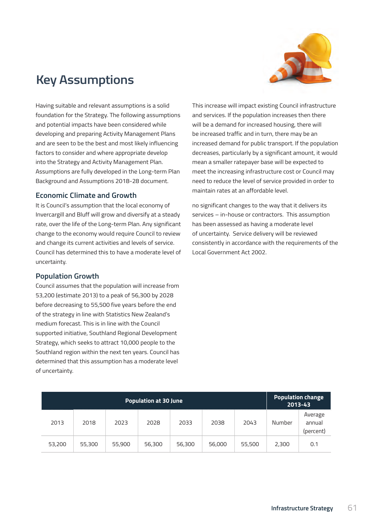

## **Key Assumptions**

Having suitable and relevant assumptions is a solid foundation for the Strategy. The following assumptions and potential impacts have been considered while developing and preparing Activity Management Plans and are seen to be the best and most likely influencing factors to consider and where appropriate develop into the Strategy and Activity Management Plan. Assumptions are fully developed in the Long-term Plan Background and Assumptions 2018-28 document.

#### **Economic Climate and Growth**

It is Council's assumption that the local economy of Invercargill and Bluff will grow and diversify at a steady rate, over the life of the Long-term Plan. Any significant change to the economy would require Council to review and change its current activities and levels of service. Council has determined this to have a moderate level of uncertainty.

### **Population Growth**

Council assumes that the population will increase from 53,200 (estimate 2013) to a peak of 56,300 by 2028 before decreasing to 55,500 five years before the end of the strategy in line with Statistics New Zealand's medium forecast. This is in line with the Council supported initiative, Southland Regional Development Strategy, which seeks to attract 10,000 people to the Southland region within the next ten years. Council has determined that this assumption has a moderate level of uncertainty.

This increase will impact existing Council infrastructure and services. If the population increases then there will be a demand for increased housing, there will be increased traffic and in turn, there may be an increased demand for public transport. If the population decreases, particularly by a significant amount, it would mean a smaller ratepayer base will be expected to meet the increasing infrastructure cost or Council may need to reduce the level of service provided in order to maintain rates at an affordable level.

no significant changes to the way that it delivers its services – in-house or contractors. This assumption has been assessed as having a moderate level of uncertainty. Service delivery will be reviewed consistently in accordance with the requirements of the Local Government Act 2002.

| <b>Population at 30 June</b> |        |        |        |        |        | <b>Population change</b><br>2013-43 |        |                                |
|------------------------------|--------|--------|--------|--------|--------|-------------------------------------|--------|--------------------------------|
| 2013                         | 2018   | 2023   | 2028   | 2033   | 2038   | 2043                                | Number | Average<br>annual<br>(percent) |
| 53,200                       | 55,300 | 55,900 | 56,300 | 56,300 | 56,000 | 55,500                              | 2,300  | 0.1                            |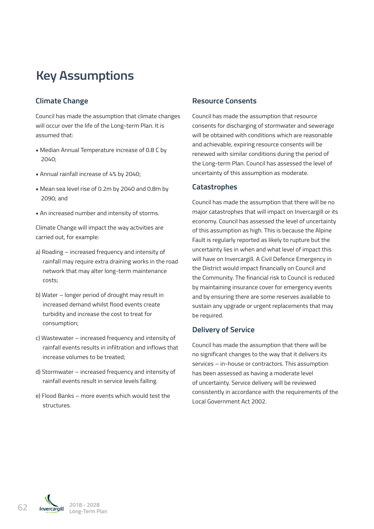## **Key Assumptions**

## **Climate Change**

Council has made the assumption that climate changes will occur over the life of the Long-term Plan. It is assumed that:

- Median Annual Temperature increase of 0.8C by 2040;
- Annual rainfall increase of 4% by 2040;
- Mean sea level rise of 0.2m by 2040 and 0.8m by 2090; and
- An increased number and intensity of storms.

Climate Change will impact the way activities are carried out, for example:

- a) Roading increased frequency and intensity of rainfall may require extra draining works in the road network that may alter long-term maintenance costs;
- b) Water longer period of drought may result in increased demand whilst flood events create turbidity and increase the cost to treat for consumption;
- c) Wastewater increased frequency and intensity of rainfall events results in infiltration and inflows that increase volumes to be treated;
- d) Stormwater increased frequency and intensity of rainfall events result in service levels falling.
- e) Flood Banks more events which would test the structures.

### **Resource Consents**

Council has made the assumption that resource consents for discharging of stormwater and sewerage will be obtained with conditions which are reasonable and achievable, expiring resource consents will be renewed with similar conditions during the period of the Long-term Plan. Council has assessed the level of uncertainty of this assumption as moderate.

### **Catastrophes**

Council has made the assumption that there will be no major catastrophes that will impact on Invercargill or its economy. Council has assessed the level of uncertainty of this assumption as high. This is because the Alpine Fault is regularly reported as likely to rupture but the uncertainty lies in when and what level of impact this will have on Invercargill. A Civil Defence Emergency in the District would impact financially on Council and the Community. The financial risk to Council is reduced by maintaining insurance cover for emergency events and by ensuring there are some reserves available to sustain any upgrade or urgent replacements that may be required.

### **Delivery of Service**

Council has made the assumption that there will be no significant changes to the way that it delivers its services – in-house or contractors. This assumption has been assessed as having a moderate level of uncertainty. Service delivery will be reviewed consistently in accordance with the requirements of the Local Government Act 2002.

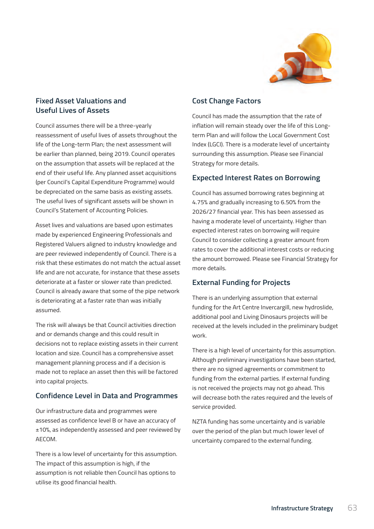

### **Fixed Asset Valuations and Useful Lives of Assets**

Council assumes there will be a three-yearly reassessment of useful lives of assets throughout the life of the Long-term Plan; the next assessment will be earlier than planned, being 2019. Council operates on the assumption that assets will be replaced at the end of their useful life. Any planned asset acquisitions (per Council's Capital Expenditure Programme) would be depreciated on the same basis as existing assets. The useful lives of significant assets will be shown in Council's Statement of Accounting Policies.

Asset lives and valuations are based upon estimates made by experienced Engineering Professionals and Registered Valuers aligned to industry knowledge and are peer reviewed independently of Council. There is a risk that these estimates do not match the actual asset life and are not accurate, for instance that these assets deteriorate at a faster or slower rate than predicted. Council is already aware that some of the pipe network is deteriorating at a faster rate than was initially assumed.

The risk will always be that Council activities direction and or demands change and this could result in decisions not to replace existing assets in their current location and size. Council has a comprehensive asset management planning process and if a decision is made not to replace an asset then this will be factored into capital projects.

### **Confidence Level in Data and Programmes**

Our infrastructure data and programmes were assessed as confidence level B or have an accuracy of ±10%, as independently assessed and peer reviewed by AECOM.

There is a low level of uncertainty for this assumption. The impact of this assumption is high, if the assumption is not reliable then Council has options to utilise its good financial health.

### **Cost Change Factors**

Council has made the assumption that the rate of inflation will remain steady over the life of this Longterm Plan and will follow the Local Government Cost Index (LGCI). There is a moderate level of uncertainty surrounding this assumption. Please see Financial Strategy for more details.

### **Expected Interest Rates on Borrowing**

Council has assumed borrowing rates beginning at 4.75% and gradually increasing to 6.50% from the 2026/27 financial year. This has been assessed as having a moderate level of uncertainty. Higher than expected interest rates on borrowing will require Council to consider collecting a greater amount from rates to cover the additional interest costs or reducing the amount borrowed. Please see Financial Strategy for more details.

### **External Funding for Projects**

There is an underlying assumption that external funding for the Art Centre Invercargill, new hydroslide, additional pool and Living Dinosaurs projects will be received at the levels included in the preliminary budget work.

There is a high level of uncertainty for this assumption. Although preliminary investigations have been started, there are no signed agreements or commitment to funding from the external parties. If external funding is not received the projects may not go ahead. This will decrease both the rates required and the levels of service provided.

NZTA funding has some uncertainty and is variable over the period of the plan but much lower level of uncertainty compared to the external funding.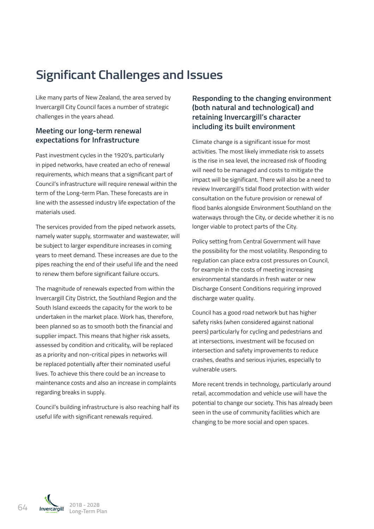## **Significant Challenges and Issues**

Like many parts of New Zealand, the area served by Invercargill City Council faces a number of strategic challenges in the years ahead.

### **Meeting our long-term renewal expectations for Infrastructure**

Past investment cycles in the 1920's, particularly in piped networks, have created an echo of renewal requirements, which means that a significant part of Council's infrastructure will require renewal within the term of the Long-term Plan. These forecasts are in line with the assessed industry life expectation of the materials used.

The services provided from the piped network assets, namely water supply, stormwater and wastewater, will be subject to larger expenditure increases in coming years to meet demand. These increases are due to the pipes reaching the end of their useful life and the need to renew them before significant failure occurs.

The magnitude of renewals expected from within the Invercargill City District, the Southland Region and the South Island exceeds the capacity for the work to be undertaken in the market place. Work has, therefore, been planned so as to smooth both the financial and supplier impact. This means that higher risk assets, assessed by condition and criticality, will be replaced as a priority and non-critical pipes in networks will be replaced potentially after their nominated useful lives. To achieve this there could be an increase to maintenance costs and also an increase in complaints regarding breaks in supply.

Council's building infrastructure is also reaching half its useful life with significant renewals required.

## **Responding to the changing environment (both natural and technological) and retaining Invercargill's character including its built environment**

Climate change is a significant issue for most activities. The most likely immediate risk to assets is the rise in sea level, the increased risk of flooding will need to be managed and costs to mitigate the impact will be significant. There will also be a need to review Invercargill's tidal flood protection with wider consultation on the future provision or renewal of flood banks alongside Environment Southland on the waterways through the City, or decide whether it is no longer viable to protect parts of the City.

Policy setting from Central Government will have the possibility for the most volatility. Responding to regulation can place extra cost pressures on Council, for example in the costs of meeting increasing environmental standards in fresh water or new Discharge Consent Conditions requiring improved discharge water quality.

Council has a good road network but has higher safety risks (when considered against national peers) particularly for cycling and pedestrians and at intersections, investment will be focused on intersection and safety improvements to reduce crashes, deaths and serious injuries, especially to vulnerable users.

More recent trends in technology, particularly around retail, accommodation and vehicle use will have the potential to change our society. This has already been seen in the use of community facilities which are changing to be more social and open spaces.

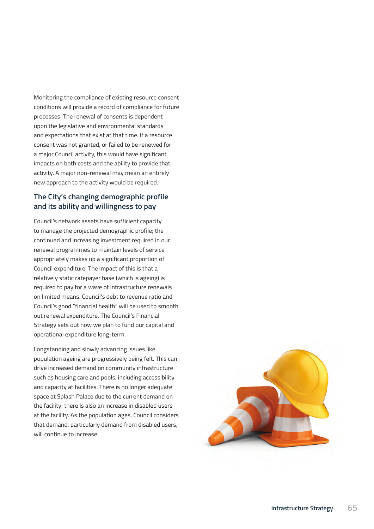Monitoring the compliance of existing resource consent conditions will provide a record of compliance for future processes. The renewal of consents is dependent upon the legislative and environmental standards and expectations that exist at that time. If a resource consent was not granted, or failed to be renewed for a major Council activity, this would have significant impacts on both costs and the ability to provide that activity. A major non-renewal may mean an entirely new approach to the activity would be required.

### **The City's changing demographic profile and its ability and willingness to pay**

Council's network assets have sufficient capacity to manage the projected demographic profile; the continued and increasing investment required in our renewal programmes to maintain levels of service appropriately makes up a significant proportion of Council expenditure. The impact of this is that a relatively static ratepayer base (which is ageing) is required to pay for a wave of infrastructure renewals on limited means. Council's debt to revenue ratio and Council's good "financial health" will be used to smooth out renewal expenditure. The Council's Financial Strategy sets out how we plan to fund our capital and operational expenditure long-term.

Longstanding and slowly advancing issues like population ageing are progressively being felt. This can drive increased demand on community infrastructure such as housing care and pools, including accessibility and capacity at facilities. There is no longer adequate space at Splash Palace due to the current demand on the facility; there is also an increase in disabled users at the facility. As the population ages, Council considers that demand, particularly demand from disabled users, will continue to increase.

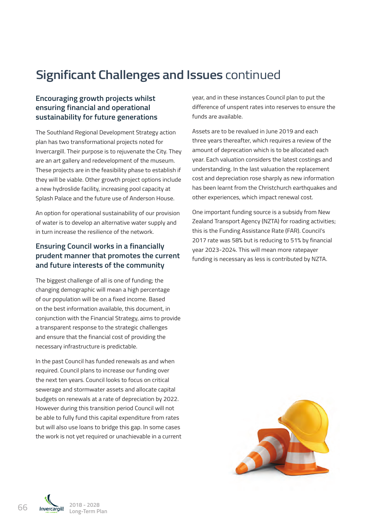## **Significant Challenges and Issues** continued

## **Encouraging growth projects whilst ensuring financial and operational sustainability for future generations**

The Southland Regional Development Strategy action plan has two transformational projects noted for Invercargill. Their purpose is to rejuvenate the City. They are an art gallery and redevelopment of the museum. These projects are in the feasibility phase to establish if they will be viable. Other growth project options include a new hydroslide facility, increasing pool capacity at Splash Palace and the future use of Anderson House.

An option for operational sustainability of our provision of water is to develop an alternative water supply and in turn increase the resilience of the network.

### **Ensuring Council works in a financially prudent manner that promotes the current and future interests of the community**

The biggest challenge of all is one of funding; the changing demographic will mean a high percentage of our population will be on a fixed income. Based on the best information available, this document, in conjunction with the Financial Strategy, aims to provide a transparent response to the strategic challenges and ensure that the financial cost of providing the necessary infrastructure is predictable.

In the past Council has funded renewals as and when required. Council plans to increase our funding over the next ten years. Council looks to focus on critical sewerage and stormwater assets and allocate capital budgets on renewals at a rate of depreciation by 2022. However during this transition period Council will not be able to fully fund this capital expenditure from rates but will also use loans to bridge this gap. In some cases the work is not yet required or unachievable in a current year, and in these instances Council plan to put the difference of unspent rates into reserves to ensure the funds are available.

Assets are to be revalued in June 2019 and each three years thereafter, which requires a review of the amount of deprecation which is to be allocated each year. Each valuation considers the latest costings and understanding. In the last valuation the replacement cost and depreciation rose sharply as new information has been learnt from the Christchurch earthquakes and other experiences, which impact renewal cost.

One important funding source is a subsidy from New Zealand Transport Agency (NZTA) for roading activities; this is the Funding Assistance Rate (FAR). Council's 2017 rate was 58% but is reducing to 51% by financial year 2023-2024. This will mean more ratepayer funding is necessary as less is contributed by NZTA.



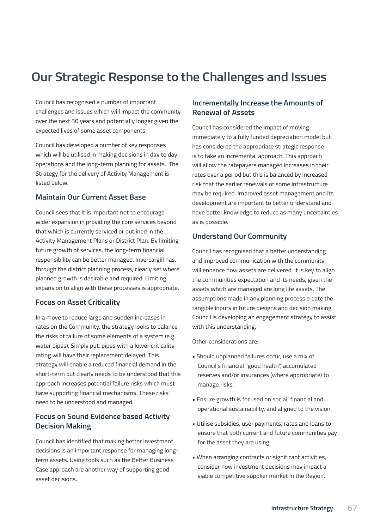## **Our Strategic Response to the Challenges and Issues**

Council has recognised a number of important challenges and issues which will impact the community over the next 30 years and potentially longer given the expected lives of some asset components.

Council has developed a number of key responses which will be utilised in making decisions in day to day operations and the long-term planning for assets. The Strategy for the delivery of Activity Management is listed below.

### **Maintain Our Current Asset Base**

Council sees that it is important not to encourage wider expansion in providing the core services beyond that which is currently serviced or outlined in the Activity Management Plans or District Plan. By limiting future growth of services, the long-term financial responsibility can be better managed. Invercargill has, through the district planning process, clearly set where planned growth is desirable and required. Limiting expansion to align with these processes is appropriate.

### **Focus on Asset Criticality**

In a move to reduce large and sudden increases in rates on the Community, the strategy looks to balance the risks of failure of some elements of a system (e.g. water pipes). Simply put, pipes with a lower criticality rating will have their replacement delayed. This strategy will enable a reduced financial demand in the short-term but clearly needs to be understood that this approach increases potential failure risks which must have supporting financial mechanisms. These risks need to be understood and managed.

### **Focus on Sound Evidence based Activity Decision Making**

Council has identified that making better investment decisions is an important response for managing longterm assets. Using tools such as the Better Business Case approach are another way of supporting good asset decisions.

### **Incrementally Increase the Amounts of Renewal of Assets**

Council has considered the impact of moving immediately to a fully funded depreciation model but has considered the appropriate strategic response is to take an incremental approach. This approach will allow the ratepayers managed increases in their rates over a period but this is balanced by increased risk that the earlier renewals of some infrastructure may be required. Improved asset management and its development are important to better understand and have better knowledge to reduce as many uncertainties as is possible.

### **Understand Our Community**

Council has recognised that a better understanding and improved communication with the community will enhance how assets are delivered. It is key to align the communities expectation and its needs, given the assets which are managed are long life assets. The assumptions made in any planning process create the tangible inputs in future designs and decision making. Council is developing an engagement strategy to assist with this understanding.

Other considerations are:

- Should unplanned failures occur, use a mix of Council's financial "good health", accumulated reserves and/or insurances (where appropriate) to manage risks.
- Ensure growth is focused on social, financial and operational sustainability, and aligned to the vision.
- Utilise subsidies, user payments, rates and loans to ensure that both current and future communities pay for the asset they are using.
- When arranging contracts or significant activities, consider how investment decisions may impact a viable competitive supplier market in the Region.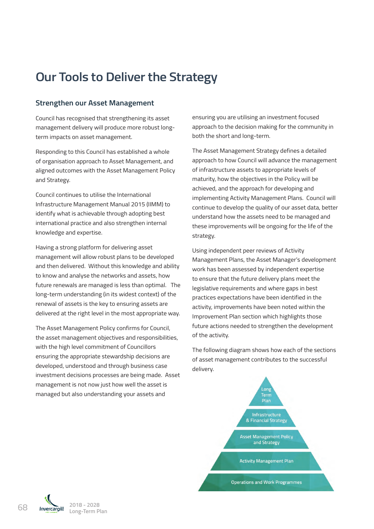## **Our Tools to Deliver the Strategy** Council has recognised that strengthening its asset management delivery will produce more robust

### **Strengthen our Asset Management**

Council has recognised that strengthening its asset management delivery will produce more robust longterm impacts on asset management.

Responding to this Council has established a whole of organisation approach to Asset Management, and aligned outcomes with the Asset Management Policy and Strategy.

Council continues to utilise the International Infrastructure Management Manual 2015 (IIMM) to identify what is achievable through adopting best international practice and also strengthen internal knowledge and expertise.

Having a strong platform for delivering asset management will allow robust plans to be developed and then delivered. Without this knowledge and ability to know and analyse the networks and assets, how future renewals are managed is less than optimal. The long-term understanding (in its widest context) of the **proprietive continue to develop the quality of our asset** renewal of assets is the key to ensuring assets are delivered at the right level in the most appropriate way.

The Asset Management Policy confirms for Council, the asset management objectives and responsibilities, with the high level commitment of Councillors ensuring the appropriate stewardship decisions are developed, understood and through business case delivery diagram shows to the sections of the sections of the sections of the sections of the sections of the sections of the sections of asset management contributes to the investment decisions processes are being made. Asset management is not now just how well the asset is managed but also understanding your assets and the activity is improvements have been noted with the Improvement Plan section which highlights have been noted with highlights and the Improvement Plan section which highlights are considered with highlights and the Impro

rengthening its asset also ansuring you are utilising an investment focused approach to the decision making for the community in ement. **Example 2015** and the International Infrastructure mentional Informational 2015 (International 2015 (I

The Asset Management Strategy defines a detailed approach to how Council will advance the management set management, and in the strong plans to be deniming plans to be developed assets to appropriate levels of  $\,$ ed management Policy with the discussive delivered above appropriate revers of the networks and analysis of the<br>maturity, how the objectives in the Policy will be its widest context context context context context context context context context are delivered at the right o International implementing Activity Management Plans. Council will continue to develop the quality of our asset data, better ough adopting best randerstand how the assets need to be managed and strengthen internal these improvements will be ongoing for the life of the distribution these improvements will be ongoing for the life of the strategy. maturity, how the objectives in the Policy will be chese improvements will be ongoing for the life of the processes are being made. Asset management is not now just how well the asset is management is managed but how well the asset is managed but how well the asset is managed but how well the asset is managed but how well as t

Using independent peer reviews of Activity also understanding your assets and ensuring you are utilising an investment focused approach to Management Plans, the Asset Manager's development ils knowledge and ability work has been assessed by independent expertise orks and assets, how to ensure that the future delivery plans meet the  $\,$ is less than optimal. The legislative requirements and where gaps in best s widest context) or the life practices expectations have been identified in the life of the life of the practices expectations have been identified in the life of the strategy of the strategy of the strategy of the strate activity, improvements have been noted within the ie most appropriate way. Improvement Plan section which highlights those  $\alpha$  confirms for Council future actions needed to strengthen the development of the activity. the decision making independent peer reviews of Activity<br>in both developed  $t_{\text{total}}$  the legislative requirements and where  $\frac{1}{2}$  of the activity

nt of Councillors rollowing diagram shows how each of the sections of asset management contributes to the successful delivery.

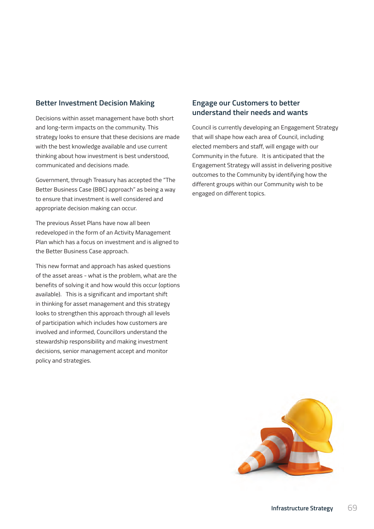### **Better Investment Decision Making**

Decisions within asset management have both short and long-term impacts on the community. This strategy looks to ensure that these decisions are made with the best knowledge available and use current thinking about how investment is best understood, communicated and decisions made.

Government, through Treasury has accepted the "The Better Business Case (BBC) approach" as being a way to ensure that investment is well considered and appropriate decision making can occur.

The previous Asset Plans have now all been redeveloped in the form of an Activity Management Plan which has a focus on investment and is aligned to the Better Business Case approach.

This new format and approach has asked questions of the asset areas - what is the problem, what are the benefits of solving it and how would this occur (options available). This is a significant and important shift in thinking for asset management and this strategy looks to strengthen this approach through all levels of participation which includes how customers are involved and informed, Councillors understand the stewardship responsibility and making investment decisions, senior management accept and monitor policy and strategies.

### **Engage our Customers to better understand their needs and wants**

Council is currently developing an Engagement Strategy that will shape how each area of Council, including elected members and staff, will engage with our Community in the future. It is anticipated that the Engagement Strategy will assist in delivering positive outcomes to the Community by identifying how the different groups within our Community wish to be engaged on different topics.

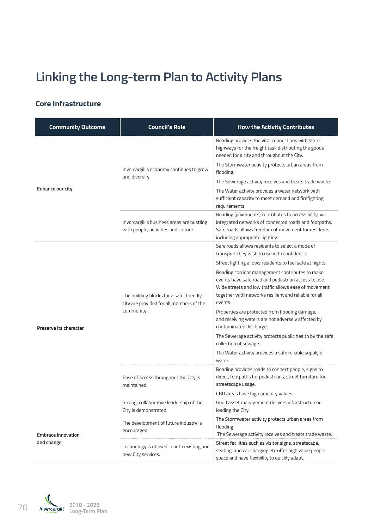# **Linking the Long-term Plan to Activity Plans**

## **Core Infrastructure**

| <b>Community Outcome</b>  | <b>Council's Role</b>                                                                             | <b>How the Activity Contributes</b>                                                                                                                                                                                                 |
|---------------------------|---------------------------------------------------------------------------------------------------|-------------------------------------------------------------------------------------------------------------------------------------------------------------------------------------------------------------------------------------|
|                           |                                                                                                   | Roading provides the vital connections with state<br>highways for the freight task distributing the goods<br>needed for a city and throughout the City.                                                                             |
|                           | Invercargill's economy continues to grow                                                          | The Stormwater activity protects urban areas from<br>flooding.                                                                                                                                                                      |
|                           | and diversify                                                                                     | The Sewerage activity receives and treats trade waste.                                                                                                                                                                              |
| Enhance our city          |                                                                                                   | The Water activity provides a water network with<br>sufficient capacity to meet demand and firefighting<br>requirements.                                                                                                            |
|                           | Invercargill's business areas are bustling<br>with people, activities and culture.                | Roading (pavements) contributes to accessibility, via<br>integrated networks of connected roads and footpaths.<br>Safe roads allows freedom of movement for residents<br>including appropriate lighting.                            |
|                           |                                                                                                   | Safe roads allows residents to select a mode of<br>transport they wish to use with confidence.                                                                                                                                      |
|                           | The building blocks for a safe, friendly<br>city are provided for all members of the<br>community | Street lighting allows residents to feel safe at nights.                                                                                                                                                                            |
|                           |                                                                                                   | Roading corridor management contributes to make<br>events have safe road and pedestrian access to use.<br>Wide streets and low traffic allows ease of movement,<br>together with networks resilient and reliable for all<br>events. |
| Preserve its character    |                                                                                                   | Properties are protected from flooding damage,<br>and receiving waters are not adversely affected by<br>contaminated discharge.                                                                                                     |
|                           |                                                                                                   | The Sewerage activity protects public health by the safe<br>collection of sewage.                                                                                                                                                   |
|                           |                                                                                                   | The Water activity provides a safe reliable supply of<br>water.                                                                                                                                                                     |
|                           | Ease of access throughout the City is<br>maintained.                                              | Roading provides roads to connect people, signs to<br>direct, footpaths for pedestrians, street furniture for<br>streetscape usage.                                                                                                 |
|                           |                                                                                                   | CBD areas have high amenity values.                                                                                                                                                                                                 |
|                           | Strong, collaborative leadership of the<br>City is demonstrated.                                  | Good asset management delivers infrastructure in<br>leading the City.                                                                                                                                                               |
| <b>Embrace innovation</b> | The development of future industry is<br>encouraged                                               | The Stormwater activity protects urban areas from<br>flooding.<br>The Sewerage activity receives and treats trade waste.                                                                                                            |
| and change                | Technology is utilised in both existing and<br>new City services.                                 | Street facilities such as visitor signs, streetscape,<br>seating, and car charging etc offer high value people<br>space and have flexibility to quickly adapt.                                                                      |

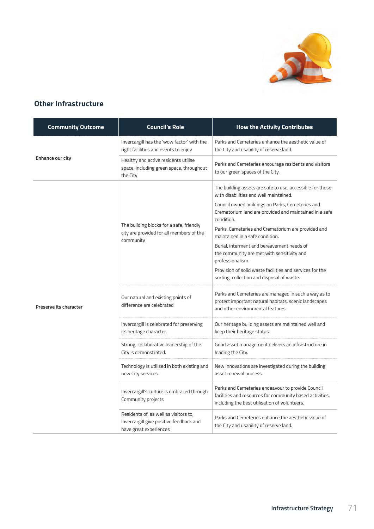

## **Other Infrastructure**

| <b>Community Outcome</b> | <b>Council's Role</b>                                                                                      | <b>How the Activity Contributes</b>                                                                                                                                                                                                                                                                                                                                                                                                                                                                                                                |
|--------------------------|------------------------------------------------------------------------------------------------------------|----------------------------------------------------------------------------------------------------------------------------------------------------------------------------------------------------------------------------------------------------------------------------------------------------------------------------------------------------------------------------------------------------------------------------------------------------------------------------------------------------------------------------------------------------|
|                          | Invercargill has the 'wow factor' with the<br>right facilities and events to enjoy                         | Parks and Cemeteries enhance the aesthetic value of<br>the City and usability of reserve land.                                                                                                                                                                                                                                                                                                                                                                                                                                                     |
| Enhance our city         | Healthy and active residents utilise<br>space, including green space, throughout<br>the City               | Parks and Cemeteries encourage residents and visitors<br>to our green spaces of the City.                                                                                                                                                                                                                                                                                                                                                                                                                                                          |
|                          | The building blocks for a safe, friendly<br>city are provided for all members of the<br>community          | The building assets are safe to use, accessible for those<br>with disabilities and well maintained.<br>Council owned buildings on Parks, Cemeteries and<br>Crematorium land are provided and maintained in a safe<br>condition.<br>Parks, Cemeteries and Crematorium are provided and<br>maintained in a safe condition.<br>Burial, interment and bereavement needs of<br>the community are met with sensitivity and<br>professionalism.<br>Provision of solid waste facilities and services for the<br>sorting, collection and disposal of waste. |
| Preserve its character   | Our natural and existing points of<br>difference are celebrated                                            | Parks and Cemeteries are managed in such a way as to<br>protect important natural habitats, scenic landscapes<br>and other environmental features.                                                                                                                                                                                                                                                                                                                                                                                                 |
|                          | Invercargill is celebrated for preserving<br>its heritage character.                                       | Our heritage building assets are maintained well and<br>keep their heritage status.                                                                                                                                                                                                                                                                                                                                                                                                                                                                |
|                          | Strong, collaborative leadership of the<br>City is demonstrated.                                           | Good asset management delivers an infrastructure in<br>leading the City.                                                                                                                                                                                                                                                                                                                                                                                                                                                                           |
|                          | Technology is utilised in both existing and<br>new City services.                                          | New innovations are investigated during the building<br>asset renewal process.                                                                                                                                                                                                                                                                                                                                                                                                                                                                     |
|                          | Invercargill's culture is embraced through<br>Community projects                                           | Parks and Cemeteries endeavour to provide Council<br>facilities and resources for community based activities,<br>including the best utilisation of volunteers.                                                                                                                                                                                                                                                                                                                                                                                     |
|                          | Residents of, as well as visitors to,<br>Invercargill give positive feedback and<br>have great experiences | Parks and Cemeteries enhance the aesthetic value of<br>the City and usability of reserve land.                                                                                                                                                                                                                                                                                                                                                                                                                                                     |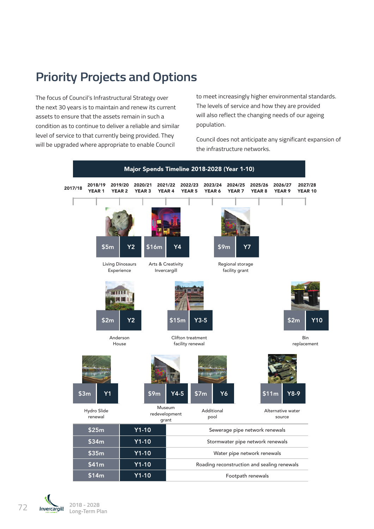## **Priority Projects and Options**

The focus of Council's Infrastructural Strategy over the next 30 years is to maintain and renew its current assets to ensure that the assets remain in such a condition as to continue to deliver a reliable and similar level of service to that currently being provided. They will be upgraded where appropriate to enable Council

to meet increasingly higher environmental standards. The levels of service and how they are provided will also reflect the changing needs of our ageing population.

Council does not anticipate any significant expansion of the infrastructure networks.

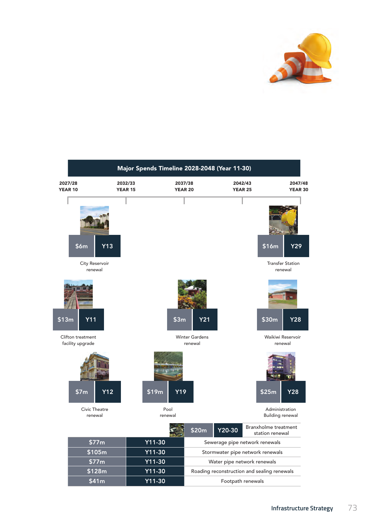

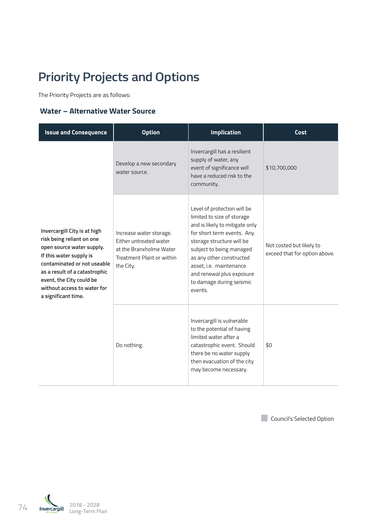## **Priority Projects and Options**

The Priority Projects are as follows:

### **Water – Alternative Water Source**

| <b>Issue and Consequence</b>                                                                                                                                                                                                                                        | <b>Option</b>                                                                                                          | <b>Implication</b>                                                                                                                                                                                                                                                                                            | Cost                                                      |
|---------------------------------------------------------------------------------------------------------------------------------------------------------------------------------------------------------------------------------------------------------------------|------------------------------------------------------------------------------------------------------------------------|---------------------------------------------------------------------------------------------------------------------------------------------------------------------------------------------------------------------------------------------------------------------------------------------------------------|-----------------------------------------------------------|
| Invercargill City is at high<br>risk being reliant on one<br>open source water supply.<br>If this water supply is<br>contaminated or not useable<br>as a result of a catastrophic<br>event, the City could be<br>without access to water for<br>a significant time. | Develop a new secondary<br>water source.                                                                               | Invercargill has a resilient<br>supply of water, any<br>event of significance will<br>have a reduced risk to the<br>community.                                                                                                                                                                                | \$10,700,000                                              |
|                                                                                                                                                                                                                                                                     | Increase water storage.<br>Either untreated water<br>at the Branxholme Water<br>Treatment Plant or within<br>the City. | Level of protection will be<br>limited to size of storage<br>and is likely to mitigate only<br>for short term events. Any<br>storage structure will be<br>subject to being managed<br>as any other constructed<br>asset, i.e. maintenance<br>and renewal plus exposure<br>to damage during seismic<br>events. | Not costed but likely to<br>exceed that for option above. |
|                                                                                                                                                                                                                                                                     | Do nothing.                                                                                                            | Invercargill is vulnerable<br>to the potential of having<br>limited water after a<br>catastrophic event. Should<br>there be no water supply<br>then evacuation of the city<br>may become necessary.                                                                                                           | \$0                                                       |

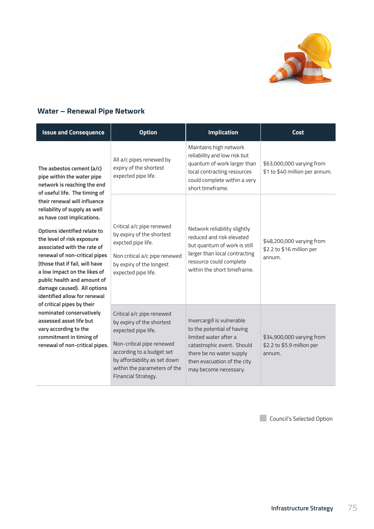

## **Water – Renewal Pipe Network**

| <b>Issue and Consequence</b>                                                                                                                                                                                                                                                                                                                                                                                               | <b>Option</b>                                                                                                                                                                                                                  | <b>Implication</b>                                                                                                                                                                                  | Cost                                                              |
|----------------------------------------------------------------------------------------------------------------------------------------------------------------------------------------------------------------------------------------------------------------------------------------------------------------------------------------------------------------------------------------------------------------------------|--------------------------------------------------------------------------------------------------------------------------------------------------------------------------------------------------------------------------------|-----------------------------------------------------------------------------------------------------------------------------------------------------------------------------------------------------|-------------------------------------------------------------------|
| The asbestos cement (a/c)<br>pipe within the water pipe<br>network is reaching the end                                                                                                                                                                                                                                                                                                                                     | All a/c pipes renewed by<br>expiry of the shortest<br>expected pipe life.                                                                                                                                                      | Maintains high network<br>reliability and low risk but<br>quantum of work larger than<br>local contracting resources<br>could complete within a very<br>short timeframe.                            | \$63,000,000 varying from<br>\$1 to \$40 million per annum.       |
| of useful life. The timing of<br>their renewal will influence<br>reliability of supply as well<br>as have cost implications.<br>Options identified relate to<br>the level of risk exposure<br>associated with the rate of<br>renewal of non-critical pipes<br>(those that if fail, will have<br>a low impact on the likes of<br>public health and amount of<br>damage caused). All options<br>identified allow for renewal | Critical a/c pipe renewed<br>by expiry of the shortest<br>expcted pipe life.<br>Non critical a/c pipe renewed<br>by expiry of the longest<br>expected pipe life.                                                               | Network reliability slightly<br>reduced and risk elevated<br>but quantum of work is still<br>larger than local contracting<br>resource could complete<br>within the short timeframe.                | \$48,200,000 varying from<br>\$2.2 to \$16 million per<br>annum.  |
| of critical pipes by their<br>nominated conservatively<br>assessed asset life but<br>vary according to the<br>commitment in timing of<br>renewal of non-critical pipes.                                                                                                                                                                                                                                                    | Critical a/c pipe renewed<br>by expiry of the shortest<br>expected pipe life.<br>Non-critical pipe renewed<br>according to a budget set<br>by affordability as set down<br>within the parameters of the<br>Financial Strategy. | Invercargill is vulnerable<br>to the potential of having<br>limited water after a<br>catastrophic event. Should<br>there be no water supply<br>then evacuation of the city<br>may become necessary. | \$34,900,000 varying from<br>\$2.2 to \$5.9 million per<br>annum. |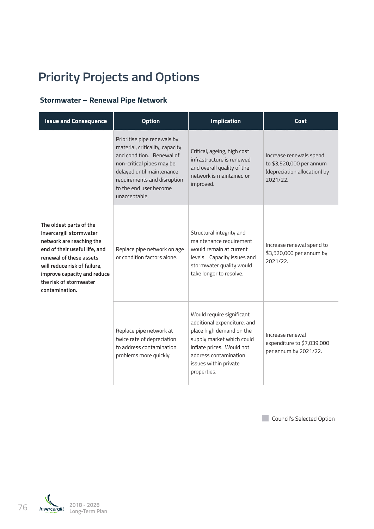## **Priority Projects and Options**

### **Stormwater – Renewal Pipe Network**

| <b>Issue and Consequence</b>                                                                                                                                                                                                                          | <b>Option</b>                                                                                                                                                                                                                   | <b>Implication</b>                                                                                                                                                                                              | Cost                                                                                            |
|-------------------------------------------------------------------------------------------------------------------------------------------------------------------------------------------------------------------------------------------------------|---------------------------------------------------------------------------------------------------------------------------------------------------------------------------------------------------------------------------------|-----------------------------------------------------------------------------------------------------------------------------------------------------------------------------------------------------------------|-------------------------------------------------------------------------------------------------|
| The oldest parts of the<br>Invercargill stormwater<br>network are reaching the<br>end of their useful life, and<br>renewal of these assets<br>will reduce risk of failure,<br>improve capacity and reduce<br>the risk of stormwater<br>contamination. | Prioritise pipe renewals by<br>material, criticality, capacity<br>and condition. Renewal of<br>non-critical pipes may be<br>delayed until maintenance<br>requirements and disruption<br>to the end user become<br>unacceptable. | Critical, ageing, high cost<br>infrastructure is renewed<br>and overall quality of the<br>network is maintained or<br>improved.                                                                                 | Increase renewals spend<br>to \$3,520,000 per annum<br>(depreciation allocation) by<br>2021/22. |
|                                                                                                                                                                                                                                                       | Replace pipe network on age<br>or condition factors alone.                                                                                                                                                                      | Structural integrity and<br>maintenance requirement<br>would remain at current<br>levels. Capacity issues and<br>stormwater quality would<br>take longer to resolve.                                            | Increase renewal spend to<br>\$3,520,000 per annum by<br>2021/22.                               |
|                                                                                                                                                                                                                                                       | Replace pipe network at<br>twice rate of depreciation<br>to address contamination<br>problems more quickly.                                                                                                                     | Would require significant<br>additional expenditure, and<br>place high demand on the<br>supply market which could<br>inflate prices. Would not<br>address contamination<br>issues within private<br>properties. | Increase renewal<br>expenditure to \$7,039,000<br>per annum by 2021/22.                         |

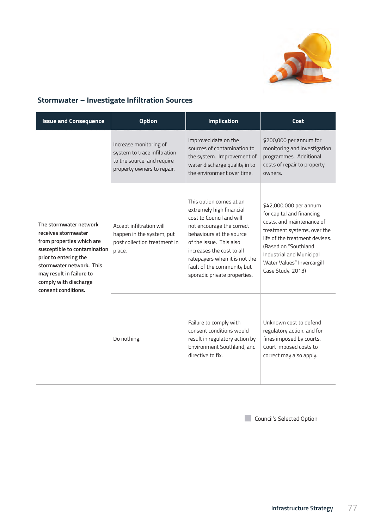

## **Stormwater – Investigate Infiltration Sources**

| <b>Issue and Consequence</b>                                                                                                                                                                                                                | <b>Option</b>                                                                                                      | <b>Implication</b>                                                                                                                                                                                                                                                                              | Cost                                                                                                                                                                                                                                                     |
|---------------------------------------------------------------------------------------------------------------------------------------------------------------------------------------------------------------------------------------------|--------------------------------------------------------------------------------------------------------------------|-------------------------------------------------------------------------------------------------------------------------------------------------------------------------------------------------------------------------------------------------------------------------------------------------|----------------------------------------------------------------------------------------------------------------------------------------------------------------------------------------------------------------------------------------------------------|
|                                                                                                                                                                                                                                             | Increase monitoring of<br>system to trace infiltration<br>to the source, and require<br>property owners to repair. | Improved data on the<br>sources of contamination to<br>the system. Improvement of<br>water discharge quality in to<br>the environment over time.                                                                                                                                                | \$200,000 per annum for<br>monitoring and investigation<br>programmes. Additional<br>costs of repair to property<br>owners.                                                                                                                              |
| The stormwater network<br>receives stormwater<br>from properties which are<br>susceptible to contamination<br>prior to entering the<br>stormwater network. This<br>may result in failure to<br>comply with discharge<br>consent conditions. | Accept infiltration will<br>happen in the system, put<br>post collection treatment in<br>place.                    | This option comes at an<br>extremely high financial<br>cost to Council and will<br>not encourage the correct<br>behaviours at the source<br>of the issue. This also<br>increases the cost to all<br>ratepayers when it is not the<br>fault of the community but<br>sporadic private properties. | \$42,000,000 per annum<br>for capital and financing<br>costs, and maintenance of<br>treatment systems, over the<br>life of the treatment devises.<br>(Based on "Southland<br>Industrial and Municipal<br>Water Values" Invercargill<br>Case Study, 2013) |
|                                                                                                                                                                                                                                             | Do nothing.                                                                                                        | Failure to comply with<br>consent conditions would<br>result in regulatory action by<br>Environment Southland, and<br>directive to fix.                                                                                                                                                         | Unknown cost to defend<br>regulatory action, and for<br>fines imposed by courts.<br>Court imposed costs to<br>correct may also apply.                                                                                                                    |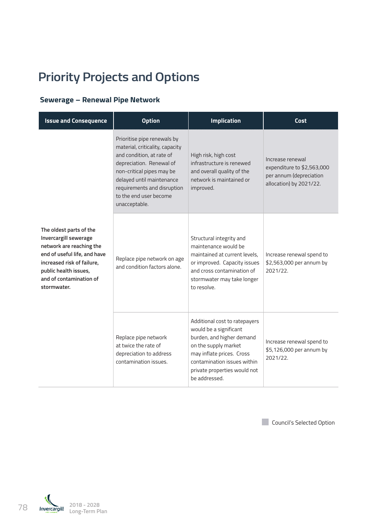## **Priority Projects and Options**

## **Sewerage – Renewal Pipe Network**

| <b>Issue and Consequence</b>                                                                                                                                                                                  | <b>Option</b>                                                                                                                                                                                                                                               | <b>Implication</b>                                                                                                                                                                                                        | <b>Cost</b>                                                                                          |
|---------------------------------------------------------------------------------------------------------------------------------------------------------------------------------------------------------------|-------------------------------------------------------------------------------------------------------------------------------------------------------------------------------------------------------------------------------------------------------------|---------------------------------------------------------------------------------------------------------------------------------------------------------------------------------------------------------------------------|------------------------------------------------------------------------------------------------------|
| The oldest parts of the<br>Invercargill sewerage<br>network are reaching the<br>end of useful life, and have<br>increased risk of failure,<br>public health issues,<br>and of contamination of<br>stormwater. | Prioritise pipe renewals by<br>material, criticality, capacity<br>and condition, at rate of<br>depreciation. Renewal of<br>non-critical pipes may be<br>delayed until maintenance<br>requirements and disruption<br>to the end user become<br>unacceptable. | High risk, high cost<br>infrastructure is renewed<br>and overall quality of the<br>network is maintained or<br>improved.                                                                                                  | Increase renewal<br>expenditure to \$2,563,000<br>per annum (depreciation<br>allocation) by 2021/22. |
|                                                                                                                                                                                                               | Replace pipe network on age<br>and condition factors alone.                                                                                                                                                                                                 | Structural integrity and<br>maintenance would be<br>maintained at current levels.<br>or improved. Capacity issues<br>and cross contamination of<br>stormwater may take longer<br>to resolve.                              | Increase renewal spend to<br>\$2,563,000 per annum by<br>2021/22.                                    |
|                                                                                                                                                                                                               | Replace pipe network<br>at twice the rate of<br>depreciation to address<br>contamination issues.                                                                                                                                                            | Additional cost to ratepayers<br>would be a significant<br>burden, and higher demand<br>on the supply market<br>may inflate prices. Cross<br>contamination issues within<br>private properties would not<br>be addressed. | Increase renewal spend to<br>\$5,126,000 per annum by<br>2021/22.                                    |

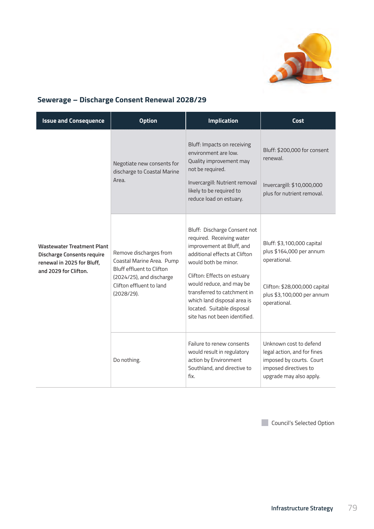

## **Sewerage – Discharge Consent Renewal 2028/29**

| <b>Issue and Consequence</b>                                                                                                  | <b>Option</b>                                                                                                                                          | <b>Implication</b>                                                                                                                                                                                                                                                                                                                      | Cost                                                                                                                                                  |
|-------------------------------------------------------------------------------------------------------------------------------|--------------------------------------------------------------------------------------------------------------------------------------------------------|-----------------------------------------------------------------------------------------------------------------------------------------------------------------------------------------------------------------------------------------------------------------------------------------------------------------------------------------|-------------------------------------------------------------------------------------------------------------------------------------------------------|
| <b>Wastewater Treatment Plant</b><br><b>Discharge Consents require</b><br>renewal in 2025 for Bluff,<br>and 2029 for Clifton. | Negotiate new consents for<br>discharge to Coastal Marine<br>Area.                                                                                     | Bluff: Impacts on receiving<br>environment are low.<br>Quality improvement may<br>not be required.<br>Invercargill: Nutrient removal<br>likely to be required to<br>reduce load on estuary.                                                                                                                                             | Bluff: \$200,000 for consent<br>renewal.<br>Invercargill: \$10,000,000<br>plus for nutrient removal.                                                  |
|                                                                                                                               | Remove discharges from<br>Coastal Marine Area. Pump<br>Bluff effluent to Clifton<br>(2024/25), and discharge<br>Clifton effluent to land<br>(2028/29). | Bluff: Discharge Consent not<br>required. Receiving water<br>improvement at Bluff, and<br>additional effects at Clifton<br>would both be minor.<br>Clifton: Effects on estuary<br>would reduce, and may be<br>transferred to catchment in<br>which land disposal area is<br>located. Suitable disposal<br>site has not been identified. | Bluff: \$3,100,000 capital<br>plus \$164,000 per annum<br>operational.<br>Clifton: \$28,000,000 capital<br>plus \$3,100,000 per annum<br>operational. |
|                                                                                                                               | Do nothing.                                                                                                                                            | Failure to renew consents<br>would result in regulatory<br>action by Environment<br>Southland, and directive to<br>fix.                                                                                                                                                                                                                 | Unknown cost to defend<br>legal action, and for fines<br>imposed by courts. Court<br>imposed directives to<br>upgrade may also apply.                 |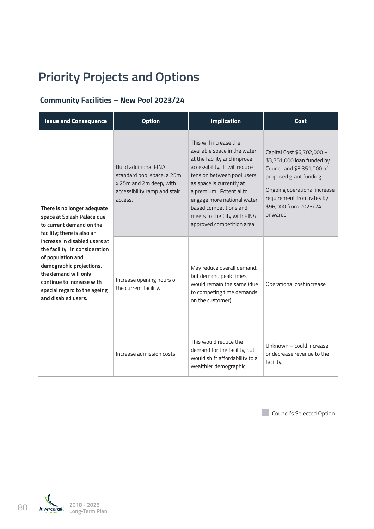## **Priority Projects and Options**

## **Community Facilities – New Pool 2023/24**

| <b>Issue and Consequence</b>                                                                                                                                                                                                 | <b>Option</b>                                                                                                                    | <b>Implication</b>                                                                                                                                                                                                                                                                                                               | Cost                                                                                                                                                                                                                |
|------------------------------------------------------------------------------------------------------------------------------------------------------------------------------------------------------------------------------|----------------------------------------------------------------------------------------------------------------------------------|----------------------------------------------------------------------------------------------------------------------------------------------------------------------------------------------------------------------------------------------------------------------------------------------------------------------------------|---------------------------------------------------------------------------------------------------------------------------------------------------------------------------------------------------------------------|
| There is no longer adequate<br>space at Splash Palace due<br>to current demand on the<br>facility; there is also an                                                                                                          | <b>Build additional FINA</b><br>standard pool space, a 25m<br>x 25m and 2m deep, with<br>accessibility ramp and stair<br>access. | This will increase the<br>available space in the water<br>at the facility and improve<br>accessibility. It will reduce<br>tension between pool users<br>as space is currently at<br>a premium. Potential to<br>engage more national water<br>based competitions and<br>meets to the City with FINA<br>approved competition area. | Capital Cost \$6,702,000 -<br>\$3,351,000 loan funded by<br>Council and \$3,351,000 of<br>proposed grant funding.<br>Ongoing operational increase<br>requirement from rates by<br>\$96,000 from 2023/24<br>onwards. |
| increase in disabled users at<br>the facility. In consideration<br>of population and<br>demographic projections,<br>the demand will only<br>continue to increase with<br>special regard to the ageing<br>and disabled users. | Increase opening hours of<br>the current facility.                                                                               | May reduce overall demand,<br>but demand peak times<br>would remain the same (due<br>to competing time demands<br>on the customer).                                                                                                                                                                                              | Operational cost increase                                                                                                                                                                                           |
|                                                                                                                                                                                                                              | Increase admission costs.                                                                                                        | This would reduce the<br>demand for the facility, but<br>would shift affordability to a<br>wealthier demographic.                                                                                                                                                                                                                | Unknown - could increase<br>or decrease revenue to the<br>facility.                                                                                                                                                 |

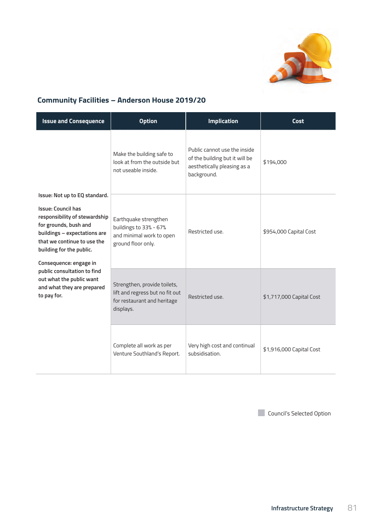

## **Community Facilities – Anderson House 2019/20**

| <b>Issue and Consequence</b>                                                                                                                                                                                                                                                                                                                      | <b>Option</b>                                                                                               | <b>Implication</b>                                                                                           | Cost                     |
|---------------------------------------------------------------------------------------------------------------------------------------------------------------------------------------------------------------------------------------------------------------------------------------------------------------------------------------------------|-------------------------------------------------------------------------------------------------------------|--------------------------------------------------------------------------------------------------------------|--------------------------|
|                                                                                                                                                                                                                                                                                                                                                   | Make the building safe to<br>look at from the outside but<br>not useable inside.                            | Public cannot use the inside<br>of the building but it will be<br>aesthetically pleasing as a<br>background. | \$194,000                |
| Issue: Not up to EQ standard.<br><b>Issue: Council has</b><br>responsibility of stewardship<br>for grounds, bush and<br>buildings - expectations are<br>that we continue to use the<br>building for the public.<br>Consequence: engage in<br>public consultation to find<br>out what the public want<br>and what they are prepared<br>to pay for. | Earthquake strengthen<br>buildings to 33% - 67%<br>and minimal work to open<br>ground floor only.           | Restricted use.                                                                                              | \$954,000 Capital Cost   |
|                                                                                                                                                                                                                                                                                                                                                   | Strengthen, provide toilets,<br>lift and regress but no fit out<br>for restaurant and heritage<br>displays. | Restricted use.                                                                                              | \$1,717,000 Capital Cost |
|                                                                                                                                                                                                                                                                                                                                                   | Complete all work as per<br>Venture Southland's Report.                                                     | Very high cost and continual<br>subsidisation.                                                               | \$1,916,000 Capital Cost |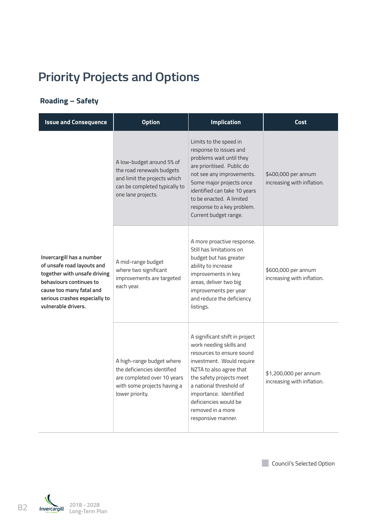## **Priority Projects and Options**

## **Roading – Safety**

| <b>Issue and Consequence</b>                                                                                                                                                                           | <b>Option</b>                                                                                                                                 | <b>Implication</b>                                                                                                                                                                                                                                                                                  | Cost                                                |
|--------------------------------------------------------------------------------------------------------------------------------------------------------------------------------------------------------|-----------------------------------------------------------------------------------------------------------------------------------------------|-----------------------------------------------------------------------------------------------------------------------------------------------------------------------------------------------------------------------------------------------------------------------------------------------------|-----------------------------------------------------|
|                                                                                                                                                                                                        | A low-budget around 5% of<br>the road renewals budgets<br>and limit the projects which<br>can be completed typically to<br>one lane projects. | Limits to the speed in<br>response to issues and<br>problems wait until they<br>are prioritised. Public do<br>not see any improvements.<br>Some major projects once<br>identified can take 10 years<br>to be enacted. A limited<br>response to a key problem.<br>Current budget range.              | \$400,000 per annum<br>increasing with inflation.   |
| Invercargill has a number<br>of unsafe road layouts and<br>together with unsafe driving<br>behaviours continues to<br>cause too many fatal and<br>serious crashes especially to<br>vulnerable drivers. | A mid-range budget<br>where two significant<br>improvements are targeted<br>each year.                                                        | A more proactive response.<br>Still has limitations on<br>budget but has greater<br>ability to increase<br>improvements in key<br>areas, deliver two big<br>improvements per year<br>and reduce the deficiency<br>listings.                                                                         | \$600,000 per annum<br>increasing with inflation.   |
|                                                                                                                                                                                                        | A high-range budget where<br>the deficiencies identified<br>are completed over 10 years<br>with some projects having a<br>lower priority.     | A significant shift in project<br>work needing skills and<br>resources to ensure sound<br>investment. Would require<br>NZTA to also agree that<br>the safety projects meet<br>a national threshold of<br>importance. Identified<br>deficiencies would be<br>removed in a more<br>responsive manner. | \$1,200,000 per annum<br>increasing with inflation. |

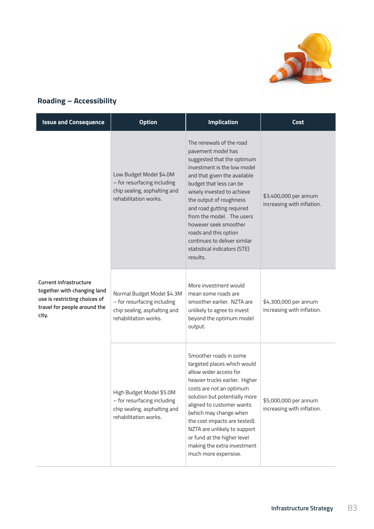

## **Roading – Accessibility**

| <b>Issue and Consequence</b>                                                                                                           | <b>Option</b>                                                                                                      | <b>Implication</b>                                                                                                                                                                                                                                                                                                                                                                                                      | Cost                                                |
|----------------------------------------------------------------------------------------------------------------------------------------|--------------------------------------------------------------------------------------------------------------------|-------------------------------------------------------------------------------------------------------------------------------------------------------------------------------------------------------------------------------------------------------------------------------------------------------------------------------------------------------------------------------------------------------------------------|-----------------------------------------------------|
|                                                                                                                                        | Low Budget Model \$4.0M<br>- for resurfacing including<br>chip sealing, asphalting and<br>rehabilitation works.    | The renewals of the road<br>pavement model has<br>suggested that the optimum<br>investment is the low model<br>and that given the available<br>budget that less can be<br>wisely invested to achieve<br>the output of roughness<br>and road gutting required<br>from the model. The users<br>however seek smoother<br>roads and this option<br>continues to deliver similar<br>statistical indicators (STE)<br>results. | \$3,400,000 per annum<br>increasing with inflation. |
| <b>Current infrastructure</b><br>together with changing land<br>use is restricting choices of<br>travel for people around the<br>city. | Normal Budget Model \$4.3M<br>- for resurfacing including<br>chip sealing, asphalting and<br>rehabilitation works. | More investment would<br>mean some roads are<br>smoother earlier. NZTA are<br>unlikely to agree to invest<br>beyond the optimum model<br>output.                                                                                                                                                                                                                                                                        | \$4,300,000 per annum<br>increasing with inflation. |
|                                                                                                                                        | High Budget Model \$5.0M<br>- for resurfacing including<br>chip sealing, asphalting and<br>rehabilitation works.   | Smoother roads in some<br>targeted places which would<br>allow wider access for<br>heavier trucks earlier. Higher<br>costs are not an optimum<br>solution but potentially more<br>aligned to customer wants<br>(which may change when<br>the cost impacts are tested).<br>NZTA are unlikely to support<br>or fund at the higher level<br>making the extra investment<br>much more expensive.                            | \$5,000,000 per annum<br>increasing with inflation. |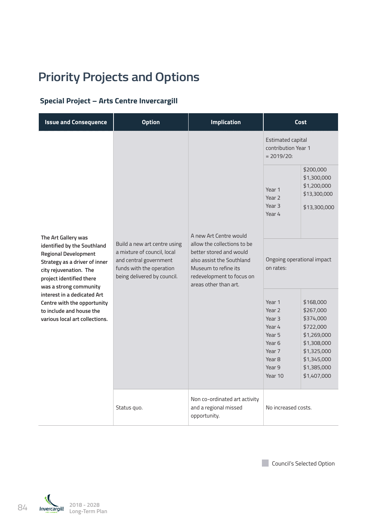## **Priority Projects and Options**

## **Special Project – Arts Centre Invercargill**

| <b>Issue and Consequence</b>                                                                                                                                                | <b>Option</b>                                                                                                                                    | <b>Implication</b>                                                                                                                                                | <b>Cost</b>                                                                                                                        |                                                                                                                                            |
|-----------------------------------------------------------------------------------------------------------------------------------------------------------------------------|--------------------------------------------------------------------------------------------------------------------------------------------------|-------------------------------------------------------------------------------------------------------------------------------------------------------------------|------------------------------------------------------------------------------------------------------------------------------------|--------------------------------------------------------------------------------------------------------------------------------------------|
|                                                                                                                                                                             |                                                                                                                                                  |                                                                                                                                                                   | Estimated capital<br>contribution Year 1<br>$= 2019/20:$                                                                           |                                                                                                                                            |
| The Art Gallery was                                                                                                                                                         |                                                                                                                                                  | A new Art Centre would                                                                                                                                            | Year 1<br>Year <sub>2</sub><br>Year <sub>3</sub><br>Year 4                                                                         | \$200,000<br>\$1,300,000<br>\$1,200,000<br>\$13,300,000<br>\$13,300,000                                                                    |
| identified by the Southland<br><b>Regional Development</b><br>Strategy as a driver of inner<br>city rejuvenation. The<br>project identified there<br>was a strong community | Build a new art centre using<br>a mixture of council, local<br>and central government<br>funds with the operation<br>being delivered by council. | allow the collections to be<br>better stored and would<br>also assist the Southland<br>Museum to refine its<br>redevelopment to focus on<br>areas other than art. | Ongoing operational impact<br>on rates:                                                                                            |                                                                                                                                            |
| interest in a dedicated Art<br>Centre with the opportunity<br>to include and house the<br>various local art collections.                                                    |                                                                                                                                                  |                                                                                                                                                                   | Year 1<br>Year <sub>2</sub><br>Year <sub>3</sub><br>Year 4<br>Year 5<br>Year <sub>6</sub><br>Year 7<br>Year 8<br>Year 9<br>Year 10 | \$168,000<br>\$267,000<br>\$374,000<br>\$722,000<br>\$1,269,000<br>\$1,308,000<br>\$1,325,000<br>\$1,345,000<br>\$1,385,000<br>\$1,407,000 |
|                                                                                                                                                                             | Status quo.                                                                                                                                      | Non co-ordinated art activity<br>and a regional missed<br>opportunity.                                                                                            | No increased costs.                                                                                                                |                                                                                                                                            |



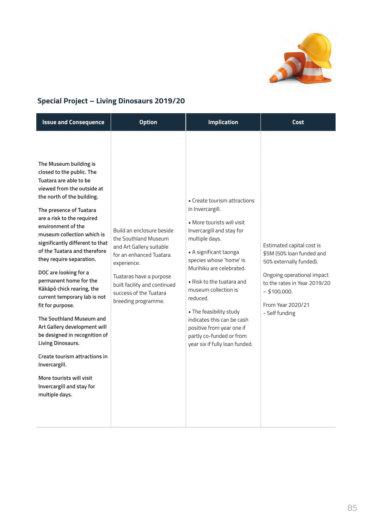

## **Special Project – Living Dinosaurs 2019/20**

| <b>Issue and Consequence</b>                                                                                                                                                                                                                                                                                                                                                                                                                                                                                                                                                                                                                                                                                                             | <b>Option</b>                                                                                                                                                                                                                       | <b>Implication</b>                                                                                                                                                                                                                                                                                                                                                                                                                | Cost                                                                                                                                                                                                     |
|------------------------------------------------------------------------------------------------------------------------------------------------------------------------------------------------------------------------------------------------------------------------------------------------------------------------------------------------------------------------------------------------------------------------------------------------------------------------------------------------------------------------------------------------------------------------------------------------------------------------------------------------------------------------------------------------------------------------------------------|-------------------------------------------------------------------------------------------------------------------------------------------------------------------------------------------------------------------------------------|-----------------------------------------------------------------------------------------------------------------------------------------------------------------------------------------------------------------------------------------------------------------------------------------------------------------------------------------------------------------------------------------------------------------------------------|----------------------------------------------------------------------------------------------------------------------------------------------------------------------------------------------------------|
| The Museum building is<br>closed to the public. The<br>Tuatara are able to be<br>viewed from the outside at<br>the north of the building.<br>The presence of Tuatara<br>are a risk to the required<br>environment of the<br>museum collection which is<br>significantly different to that<br>of the Tuatara and therefore<br>they require separation.<br>DOC are looking for a<br>permanent home for the<br>Kākāpō chick rearing, the<br>current temporary lab is not<br>fit for purpose.<br>The Southland Museum and<br>Art Gallery development will<br>be designed in recognition of<br>Living Dinosaurs.<br>Create tourism attractions in<br>Invercargill.<br>More tourists will visit<br>Invercargill and stay for<br>multiple days. | Build an enclosure beside<br>the Southland Museum<br>and Art Gallery suitable<br>for an enhanced Tuatara<br>experience.<br>Tuataras have a purpose<br>built facility and continued<br>success of the Tuatara<br>breeding programme. | • Create tourism attractions<br>in Invercargill.<br>More tourists will visit<br>Invercargill and stay for<br>multiple days.<br>• A significant taonga<br>species whose 'home' is<br>Murihiku are celebrated.<br>. Risk to the tuatara and<br>museum collection is<br>reduced.<br>. The feasibility study<br>indicates this can be cash<br>positive from year one if<br>partly co-funded or from<br>year six if fully loan funded. | Estimated capital cost is<br>\$5M (50% loan funded and<br>50% externally funded).<br>Ongoing operational impact<br>to the rates in Year 2019/20<br>$-$ \$100,000.<br>From Year 2020/21<br>- Self funding |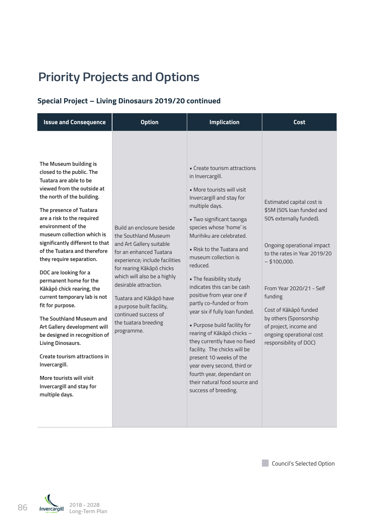## **Priority Projects and Options**

## **Special Project – Living Dinosaurs 2019/20 continued**

| <b>Issue and Consequence</b>                                                                                                                                                                                                                                                                                                                                                                                                                                                                                                                                                                                                                                                                                                             | <b>Option</b>                                                                                                                                                                                                                                                                                                                                         | <b>Implication</b>                                                                                                                                                                                                                                                                                                                                                                                                                                                                                                                                                                                                                                                                                                  | Cost                                                                                                                                                                                                                                                                                                                                        |
|------------------------------------------------------------------------------------------------------------------------------------------------------------------------------------------------------------------------------------------------------------------------------------------------------------------------------------------------------------------------------------------------------------------------------------------------------------------------------------------------------------------------------------------------------------------------------------------------------------------------------------------------------------------------------------------------------------------------------------------|-------------------------------------------------------------------------------------------------------------------------------------------------------------------------------------------------------------------------------------------------------------------------------------------------------------------------------------------------------|---------------------------------------------------------------------------------------------------------------------------------------------------------------------------------------------------------------------------------------------------------------------------------------------------------------------------------------------------------------------------------------------------------------------------------------------------------------------------------------------------------------------------------------------------------------------------------------------------------------------------------------------------------------------------------------------------------------------|---------------------------------------------------------------------------------------------------------------------------------------------------------------------------------------------------------------------------------------------------------------------------------------------------------------------------------------------|
| The Museum building is<br>closed to the public. The<br>Tuatara are able to be<br>viewed from the outside at<br>the north of the building.<br>The presence of Tuatara<br>are a risk to the required<br>environment of the<br>museum collection which is<br>significantly different to that<br>of the Tuatara and therefore<br>they require separation.<br>DOC are looking for a<br>permanent home for the<br>Kākāpō chick rearing, the<br>current temporary lab is not<br>fit for purpose.<br>The Southland Museum and<br>Art Gallery development will<br>be designed in recognition of<br>Living Dinosaurs.<br>Create tourism attractions in<br>Invercargill.<br>More tourists will visit<br>Invercargill and stay for<br>multiple days. | Build an enclosure beside<br>the Southland Museum<br>and Art Gallery suitable<br>for an enhanced Tuatara<br>experience; include facilities<br>for rearing Kākāpō chicks<br>which will also be a highly<br>desirable attraction.<br>Tuatara and Kākāpō have<br>a purpose built facility,<br>continued success of<br>the tuatara breeding<br>programme. | • Create tourism attractions<br>in Invercargill.<br>• More tourists will visit<br>Invercargill and stay for<br>multiple days.<br>. Two significant taonga<br>species whose 'home' is<br>Murihiku are celebrated.<br>• Risk to the Tuatara and<br>museum collection is<br>reduced.<br>. The feasibility study<br>indicates this can be cash<br>positive from year one if<br>partly co-funded or from<br>year six if fully loan funded.<br>. Purpose build facility for<br>rearing of Kākāpō chicks -<br>they currently have no fixed<br>facility. The chicks will be<br>present 10 weeks of the<br>year every second, third or<br>fourth year, dependant on<br>their natural food source and<br>success of breeding. | Estimated capital cost is<br>\$5M (50% loan funded and<br>50% externally funded).<br>Ongoing operational impact<br>to the rates in Year 2019/20<br>$-$ \$100,000.<br>From Year 2020/21 - Self<br>funding<br>Cost of Kākāpō funded<br>by others (Sponsorship<br>of project, income and<br>ongoing operational cost<br>responsibility of DOC) |



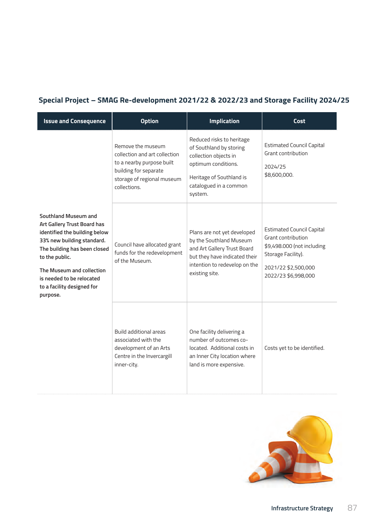## **Special Project – SMAG Re-development 2021/22 & 2022/23 and Storage Facility 2024/25**

| <b>Issue and Consequence</b>                                                                                                                                                                                                                                             | <b>Option</b>                                                                                                                                          | <b>Implication</b>                                                                                                                                                        | Cost                                                                                                                                                     |
|--------------------------------------------------------------------------------------------------------------------------------------------------------------------------------------------------------------------------------------------------------------------------|--------------------------------------------------------------------------------------------------------------------------------------------------------|---------------------------------------------------------------------------------------------------------------------------------------------------------------------------|----------------------------------------------------------------------------------------------------------------------------------------------------------|
|                                                                                                                                                                                                                                                                          | Remove the museum<br>collection and art collection<br>to a nearby purpose built<br>building for separate<br>storage of regional museum<br>collections. | Reduced risks to heritage<br>of Southland by storing<br>collection objects in<br>optimum conditions.<br>Heritage of Southland is<br>catalogued in a common<br>system.     | <b>Estimated Council Capital</b><br>Grant contribution<br>2024/25<br>\$8,600,000.                                                                        |
| Southland Museum and<br>Art Gallery Trust Board has<br>identified the building below<br>33% new building standard.<br>The building has been closed<br>to the public.<br>The Museum and collection<br>is needed to be relocated<br>to a facility designed for<br>purpose. | Council have allocated grant<br>funds for the redevelopment<br>of the Museum.                                                                          | Plans are not yet developed<br>by the Southland Museum<br>and Art Gallery Trust Board<br>but they have indicated their<br>intention to redevelop on the<br>existing site. | <b>Estimated Council Capital</b><br>Grant contribution<br>\$9,498.000 (not including<br>Storage Facility).<br>2021/22 \$2,500,000<br>2022/23 \$6,998,000 |
|                                                                                                                                                                                                                                                                          | Build additional areas<br>associated with the<br>development of an Arts<br>Centre in the Invercargill<br>inner-city.                                   | One facility delivering a<br>number of outcomes co-<br>located. Additional costs in<br>an Inner City location where<br>land is more expensive.                            | Costs yet to be identified.                                                                                                                              |

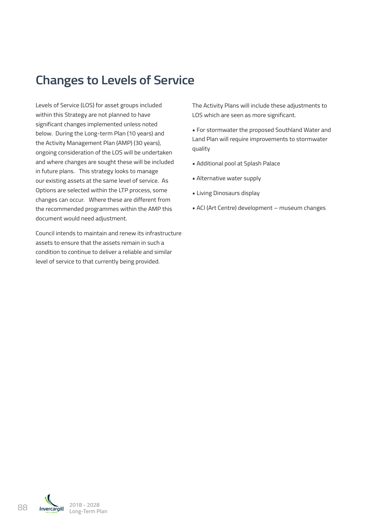## **Changes to Levels of Service**

Levels of Service (LOS) for asset groups included within this Strategy are not planned to have significant changes implemented unless noted below. During the Long-term Plan (10 years) and the Activity Management Plan (AMP) (30 years), ongoing consideration of the LOS will be undertaken and where changes are sought these will be included in future plans. This strategy looks to manage our existing assets at the same level of service. As Options are selected within the LTP process, some changes can occur. Where these are different from the recommended programmes within the AMP this document would need adjustment.

Council intends to maintain and renew its infrastructure assets to ensure that the assets remain in such a condition to continue to deliver a reliable and similar level of service to that currently being provided.

The Activity Plans will include these adjustments to LOS which are seen as more significant.

• For stormwater the proposed Southland Water and Land Plan will require improvements to stormwater quality

- Additional pool at Splash Palace
- Alternative water supply
- Living Dinosaurs display
- ACI (Art Centre) development museum changes

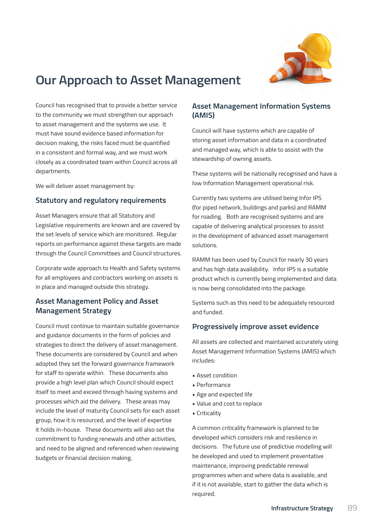

## **Our Approach to Asset Management**

Council has recognised that to provide a better service to the community we must strengthen our approach to asset management and the systems we use. It must have sound evidence based information for decision making, the risks faced must be quantified in a consistent and formal way, and we must work closely as a coordinated team within Council across all departments.

We will deliver asset management by:

### **Statutory and regulatory requirements**

Asset Managers ensure that all Statutory and Legislative requirements are known and are covered by the set levels of service which are monitored. Regular reports on performance against these targets are made through the Council Committees and Council structures.

Corporate wide approach to Health and Safety systems for all employees and contractors working on assets is in place and managed outside this strategy.

### **Asset Management Policy and Asset Management Strategy**

Council must continue to maintain suitable governance and guidance documents in the form of policies and strategies to direct the delivery of asset management. These documents are considered by Council and when adopted they set the forward governance framework for staff to operate within. These documents also provide a high level plan which Council should expect itself to meet and exceed through having systems and processes which aid the delivery. These areas may include the level of maturity Council sets for each asset group, how it is resourced, and the level of expertise it holds in-house. These documents will also set the commitment to funding renewals and other activities, and need to be aligned and referenced when reviewing budgets or financial decision making.

## **Asset Management Information Systems (AMIS)**

Council will have systems which are capable of storing asset information and data in a coordinated and managed way, which is able to assist with the stewardship of owning assets.

These systems will be nationally recognised and have a low Information Management operational risk.

Currently two systems are utilised being Infor IPS (for piped network, buildings and parks) and RAMM for roading. Both are recognised systems and are capable of delivering analytical processes to assist in the development of advanced asset management solutions.

RAMM has been used by Council for nearly 30 years and has high data availability. Infor IPS is a suitable product which is currently being implemented and data is now being consolidated into the package.

Systems such as this need to be adequately resourced and funded.

### **Progressively improve asset evidence**

All assets are collected and maintained accurately using Asset Management Information Systems (AMIS) which includes:

- Asset condition
- Performance
- Age and expected life
- Value and cost to replace
- Criticality

A common criticality framework is planned to be developed which considers risk and resilience in decisions. The future use of predictive modelling will be developed and used to implement preventative maintenance, improving predictable renewal programmes when and where data is available, and if it is not available, start to gather the data which is required.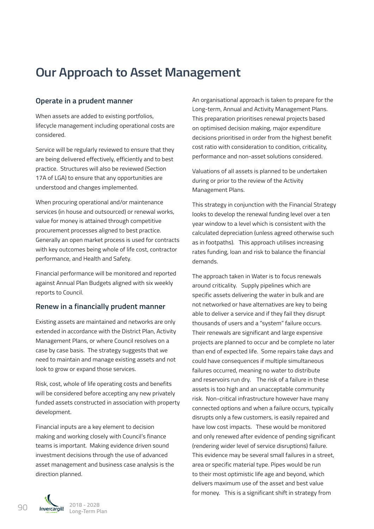## **Our Approach to Asset Management**

### **Operate in a prudent manner**

When assets are added to existing portfolios, lifecycle management including operational costs are considered.

Service will be regularly reviewed to ensure that they are being delivered effectively, efficiently and to best practice. Structures will also be reviewed (Section 17A of LGA) to ensure that any opportunities are understood and changes implemented.

When procuring operational and/or maintenance services (in house and outsourced) or renewal works, value for money is attained through competitive procurement processes aligned to best practice. Generally an open market process is used for contracts with key outcomes being whole of life cost, contractor performance, and Health and Safety.

Financial performance will be monitored and reported against Annual Plan Budgets aligned with six weekly reports to Council.

#### **Renew in a financially prudent manner**

Existing assets are maintained and networks are only extended in accordance with the District Plan, Activity Management Plans, or where Council resolves on a case by case basis. The strategy suggests that we need to maintain and manage existing assets and not look to grow or expand those services.

Risk, cost, whole of life operating costs and benefits will be considered before accepting any new privately funded assets constructed in association with property development.

Financial inputs are a key element to decision making and working closely with Council's finance teams is important. Making evidence driven sound investment decisions through the use of advanced asset management and business case analysis is the direction planned.

An organisational approach is taken to prepare for the Long-term, Annual and Activity Management Plans. This preparation prioritises renewal projects based on optimised decision making, major expenditure decisions prioritised in order from the highest benefit cost ratio with consideration to condition, criticality, performance and non-asset solutions considered.

Valuations of all assets is planned to be undertaken during or prior to the review of the Activity Management Plans.

This strategy in conjunction with the Financial Strategy looks to develop the renewal funding level over a ten year window to a level which is consistent with the calculated depreciation (unless agreed otherwise such as in footpaths). This approach utilises increasing rates funding, loan and risk to balance the financial demands.

The approach taken in Water is to focus renewals around criticality. Supply pipelines which are specific assets delivering the water in bulk and are not networked or have alternatives are key to being able to deliver a service and if they fail they disrupt thousands of users and a "system" failure occurs. Their renewals are significant and large expensive projects are planned to occur and be complete no later than end of expected life. Some repairs take days and could have consequences if multiple simultaneous failures occurred, meaning no water to distribute and reservoirs run dry. The risk of a failure in these assets is too high and an unacceptable community risk. Non-critical infrastructure however have many connected options and when a failure occurs, typically disrupts only a few customers, is easily repaired and have low cost impacts. These would be monitored and only renewed after evidence of pending significant (rendering wider level of service disruptions) failure. This evidence may be several small failures in a street, area or specific material type. Pipes would be run to their most optimistic life age and beyond, which delivers maximum use of the asset and best value for money. This is a significant shift in strategy from

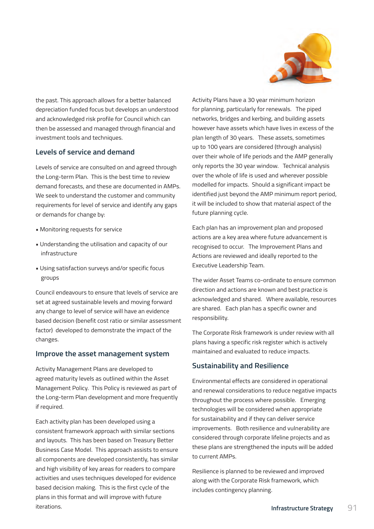

the past. This approach allows for a better balanced depreciation funded focus but develops an understood and acknowledged risk profile for Council which can then be assessed and managed through financial and investment tools and techniques.

### **Levels of service and demand**

Levels of service are consulted on and agreed through the Long-term Plan. This is the best time to review demand forecasts, and these are documented in AMPs. We seek to understand the customer and community requirements for level of service and identify any gaps or demands for change by:

- Monitoring requests for service
- Understanding the utilisation and capacity of our infrastructure
- Using satisfaction surveys and/or specific focus groups

Council endeavours to ensure that levels of service are set at agreed sustainable levels and moving forward any change to level of service will have an evidence based decision (benefit cost ratio or similar assessment factor) developed to demonstrate the impact of the changes.

### **Improve the asset management system**

Activity Management Plans are developed to agreed maturity levels as outlined within the Asset Management Policy. This Policy is reviewed as part of the Long-term Plan development and more frequently if required.

Each activity plan has been developed using a consistent framework approach with similar sections and layouts. This has been based on Treasury Better Business Case Model. This approach assists to ensure all components are developed consistently, has similar and high visibility of key areas for readers to compare activities and uses techniques developed for evidence based decision making. This is the first cycle of the plans in this format and will improve with future iterations.

Activity Plans have a 30 year minimum horizon for planning, particularly for renewals. The piped networks, bridges and kerbing, and building assets however have assets which have lives in excess of the plan length of 30 years. These assets, sometimes up to 100 years are considered (through analysis) over their whole of life periods and the AMP generally only reports the 30 year window. Technical analysis over the whole of life is used and wherever possible modelled for impacts. Should a significant impact be identified just beyond the AMP minimum report period, it will be included to show that material aspect of the future planning cycle.

Each plan has an improvement plan and proposed actions are a key area where future advancement is recognised to occur. The Improvement Plans and Actions are reviewed and ideally reported to the Executive Leadership Team.

The wider Asset Teams co-ordinate to ensure common direction and actions are known and best practice is acknowledged and shared. Where available, resources are shared. Each plan has a specific owner and responsibility.

The Corporate Risk framework is under review with all plans having a specific risk register which is actively maintained and evaluated to reduce impacts.

### **Sustainability and Resilience**

Environmental effects are considered in operational and renewal considerations to reduce negative impacts throughout the process where possible. Emerging technologies will be considered when appropriate for sustainability and if they can deliver service improvements. Both resilience and vulnerability are considered through corporate lifeline projects and as these plans are strengthened the inputs will be added to current AMPs.

Resilience is planned to be reviewed and improved along with the Corporate Risk framework, which includes contingency planning.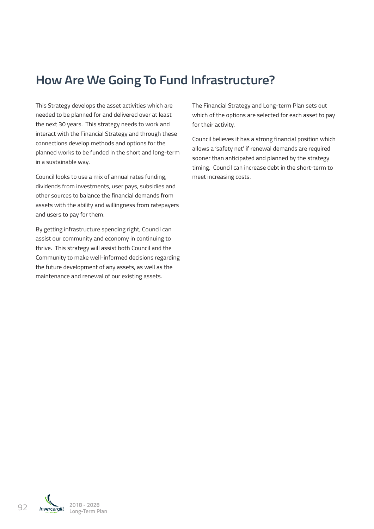## **How Are We Going To Fund Infrastructure?**

This Strategy develops the asset activities which are needed to be planned for and delivered over at least the next 30 years. This strategy needs to work and interact with the Financial Strategy and through these connections develop methods and options for the planned works to be funded in the short and long-term in a sustainable way.

Council looks to use a mix of annual rates funding, dividends from investments, user pays, subsidies and other sources to balance the financial demands from assets with the ability and willingness from ratepayers and users to pay for them.

By getting infrastructure spending right, Council can assist our community and economy in continuing to thrive. This strategy will assist both Council and the Community to make well-informed decisions regarding the future development of any assets, as well as the maintenance and renewal of our existing assets.

The Financial Strategy and Long-term Plan sets out which of the options are selected for each asset to pay for their activity.

Council believes it has a strong financial position which allows a 'safety net' if renewal demands are required sooner than anticipated and planned by the strategy timing. Council can increase debt in the short-term to meet increasing costs.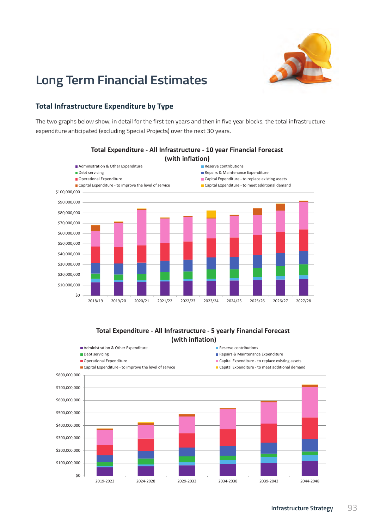

## **Long Term Financial Estimates**

## **Total Infrastructure Expenditure by Type**

The two graphs below show, in detail for the first ten years and then in five year blocks, the total infrastructure expenditure anticipated (excluding Special Projects) over the next 30 years.



# **Total Expenditure ‐ All Infrastructure ‐ 10 year Financial Forecast**

**(with inflation) Total Expenditure ‐ All Infrastructure ‐ 5 yearly Financial Forecast** Other funding Reserve uplifts Debt funding Grants & Subsidies Revenue Fees & Charges Revenue Rates Required **(with inflation)**

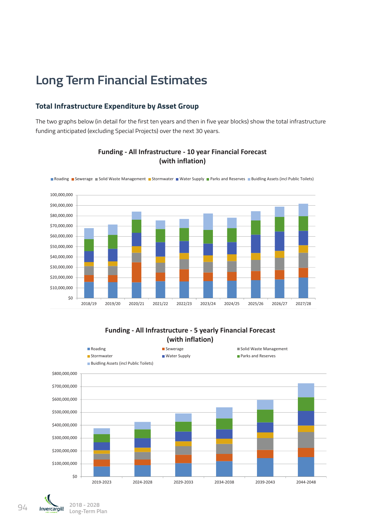## **Long Term Financial Estimates**

## **Total Infrastructure Expenditure by Asset Group**

The two graphs below (in detail for the first ten years and then in five year blocks) show the total infrastructure funding anticipated (excluding Special Projects) over the next 30 years.



**Funding ‐ All Infrastructure ‐ 10 year Financial Forecast (with inflation)**

### **Funding ‐ All Infrastructure ‐ 5 yearly Financial Forecast (with inflation)**

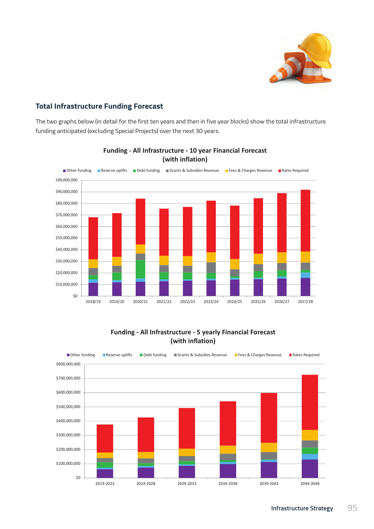

## **Total Infrastructure Funding Forecast** \$20,000,000

The two graphs below (in detail for the first ten years and then in five year blocks) show the total infrastructure funding anticipated (excluding Special Projects) over the next 30 years. (excluding Special Projects) over the next 30 years.



## **Funding ‐ All Infrastructure ‐ 10 year Financial Forecast**   ${\left( \text{with inflation} \right)}$

### **Funding ‐ All Infrastructure ‐ 5 yearly Financial Forecast (with inflation)**

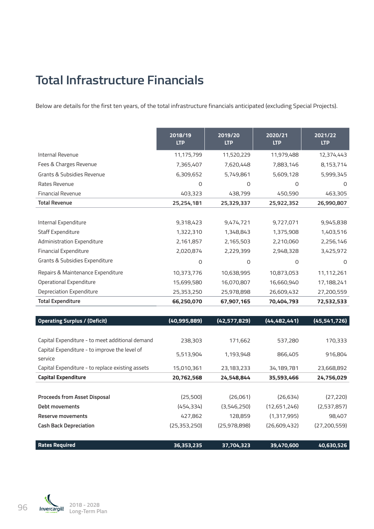## **Total Infrastructure Financials**

Below are details for the first ten years, of the total infrastructure financials anticipated (excluding Special Projects).

|                                   | 2018/19<br><b>LTP</b> | 2019/20<br><b>LTP</b> | 2020/21<br><b>LTP</b> | 2021/22<br><b>LTP</b> |
|-----------------------------------|-----------------------|-----------------------|-----------------------|-----------------------|
| Internal Revenue                  | 11,175,799            | 11,520,229            | 11,979,488            | 12,374,443            |
| Fees & Charges Revenue            | 7,365,407             | 7,620,448             | 7,883,146             | 8,153,714             |
| Grants & Subsidies Revenue        | 6,309,652             | 5,749,861             | 5,609,128             | 5,999,345             |
| Rates Revenue                     | $\mathsf{O}$          | 0                     | $\circ$               | $\overline{0}$        |
| <b>Financial Revenue</b>          | 403,323               | 438,799               | 450,590               | 463,305               |
| <b>Total Revenue</b>              | 25,254,181            | 25,329,337            | 25,922,352            | 26,990,807            |
|                                   |                       |                       |                       |                       |
| Internal Expenditure              | 9,318,423             | 9,474,721             | 9,727,071             | 9,945,838             |
| Staff Expenditure                 | 1,322,310             | 1,348,843             | 1,375,908             | 1,403,516             |
| Administration Expenditure        | 2,161,857             | 2,165,503             | 2,210,060             | 2,256,146             |
| <b>Financial Expenditure</b>      | 2,020,874             | 2,229,399             | 2,948,328             | 3,425,972             |
| Grants & Subsidies Expenditure    | $\overline{0}$        | 0                     | $\mathsf{O}$          | $\Omega$              |
| Repairs & Maintenance Expenditure | 10,373,776            | 10,638,995            | 10,873,053            | 11,112,261            |
| Operational Expenditure           | 15,699,580            | 16,070,807            | 16,660,940            | 17,188,241            |
| Depreciation Expenditure          | 25,353,250            | 25,978,898            | 26,609,432            | 27,200,559            |
| <b>Total Expenditure</b>          | 66,250,070            | 67,907,165            | 70,404,793            | 72,532,533            |

| <b>Operating Surplus / (Deficit)</b>             | (40,995,889)   | (42,577,829) | (44, 482, 441) | (45, 541, 726) |
|--------------------------------------------------|----------------|--------------|----------------|----------------|
|                                                  |                |              |                |                |
| Capital Expenditure - to meet additional demand  | 238,303        | 171,662      | 537,280        | 170,333        |
| Capital Expenditure - to improve the level of    | 5,513,904      | 1,193,948    | 866,405        | 916,804        |
| service                                          |                |              |                |                |
| Capital Expenditure - to replace existing assets | 15,010,361     | 23,183,233   | 34,189,781     | 23,668,892     |
| <b>Capital Expenditure</b>                       | 20,762,568     | 24,548,844   | 35,593,466     | 24,756,029     |
|                                                  |                |              |                |                |
| <b>Proceeds from Asset Disposal</b>              | (25,500)       | (26,061)     | (26, 634)      | (27, 220)      |
| Debt movements                                   | (454, 334)     | (3,546,250)  | (12,651,246)   | (2,537,857)    |
| <b>Reserve movements</b>                         | 427,862        | 128,859      | (1,317,995)    | 98,407         |
| <b>Cash Back Depreciation</b>                    | (25, 353, 250) | (25,978,898) | (26,609,432)   | (27, 200, 559) |
|                                                  |                |              |                |                |
| <b>Rates Required</b>                            | 36,353,235     | 37,704,323   | 39,470,600     | 40,630,526     |

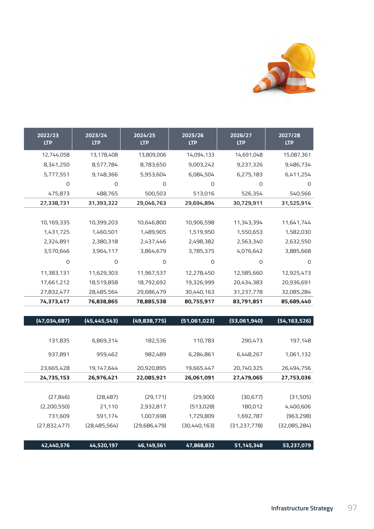

| 2027/28<br><b>LTP</b> | 2026/27<br><b>LTP</b> | 2025/26<br><b>LTP</b> | 2024/25<br><b>LTP</b> | 2023/24<br>LTP | 2022/23<br><b>LTP</b> |
|-----------------------|-----------------------|-----------------------|-----------------------|----------------|-----------------------|
| 15,087,361            | 14,691,048            | 14,094,133            | 13,809,006            | 13,178,408     | 12,744,058            |
| 9,486,734             | 9,237,326             | 9,003,242             | 8,783,650             | 8,577,784      | 8,341,250             |
| 6,411,254             | 6,275,183             | 6,084,504             | 5,953,604             | 9,148,366      | 5,777,551             |
|                       | 0                     | $\circ$               | 0                     | $\overline{O}$ | $\mathbf 0$           |
| 540,566               | 526,354               | 513,016               | 500,503               | 488,765        | 475,873               |
| 31,525,914            | 30,729,911            | 29,694,894            | 29,046,763            | 31,393,322     | 27,338,731            |
|                       |                       |                       |                       |                |                       |
| 11,641,744            | 11,343,394            | 10,906,598            | 10,646,800            | 10,399,203     | 10,169,335            |
| 1,582,030             | 1,550,653             | 1,519,950             | 1,489,905             | 1,460,501      | 1,431,725             |
| 2,632,550             | 2,563,340             | 2,498,382             | 2,437,446             | 2,380,318      | 2,324,891             |
| 3,885,668             | 4,076,642             | 3,785,375             | 3,864,679             | 3,964,117      | 3,570,646             |
|                       | 0                     | $\circ$               | 0                     | 0              | 0                     |
| 12,925,473            | 12,585,660            | 12,278,450            | 11,967,537            | 11,629,303     | 11,383,131            |
| 20,936,691            | 20,434,383            | 19,326,999            | 18,792,692            | 18,519,858     | 17,661,212            |
| 32,085,284            | 31,237,778            | 30,440,163            | 29,686,479            | 28,485,564     | 27,832,477            |
| 85,689,440            | 83,791,851            | 80,755,917            | 78,885,538            | 76,838,865     | 74,373,417            |

| (54, 163, 526) | (53,061,940)   | (51,061,023) | (49,838,775) | (45, 445, 543) | (47,034,687) |
|----------------|----------------|--------------|--------------|----------------|--------------|
| 197,148        | 290,473        | 110,783      | 182,536      | 6,869,314      | 131,835      |
| 1,061,132      | 6,448,267      | 6,284,861    | 982,489      | 959,462        | 937,891      |
| 26,494,756     | 20,740,325     | 19,665,447   | 20,920,895   | 19,147,644     | 23,665,428   |
| 27,753,036     | 27,479,065     | 26,061,091   | 22,085,921   | 26,976,421     | 24,735,153   |
| (31,505)       | (30, 677)      | (29,900)     | (29, 171)    | (28,487)       | (27, 846)    |
| 4,400,606      | 180,012        | (513,028)    | 2,932,817    | 21,110         | (2,200,550)  |
| (963, 298)     | 1,692,787      | 1,729,809    | 1,007,698    | 591,174        | 731,609      |
| (32,085,284)   | (31, 237, 778) | (30,440,163) | (29,686,479) | (28,485,564)   | (27,832,477) |
| 53,237,079     | 51, 145, 348   | 47,868,832   | 46,149,561   | 44,520,197     | 42,440,576   |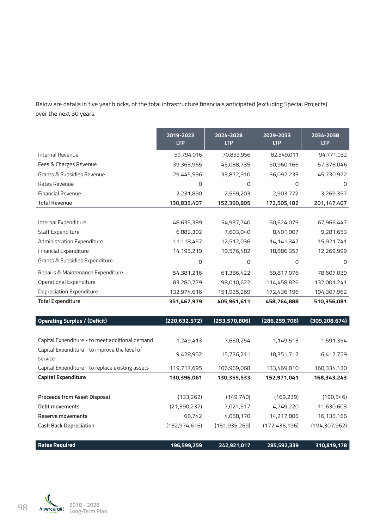Below are details in five year blocks, of the total infrastructure financials anticipated (excluding Special Projects) over the next 30 years.

|                                   | 2019-2023<br><b>LTP</b> | 2024-2028<br><b>LTP</b> | 2029-2033<br><b>LTP</b> | 2034-2038<br><b>LTP</b> |
|-----------------------------------|-------------------------|-------------------------|-------------------------|-------------------------|
| Internal Revenue                  | 59,794,016              | 70,859,956              | 82,549,011              | 94,771,032              |
| Fees & Charges Revenue            | 39,363,965              | 45,088,735              | 50,960,166              | 57,376,046              |
| Grants & Subsidies Revenue        | 29,445,536              | 33,872,910              | 36,092,233              | 45,730,972              |
| Rates Revenue                     | 0                       | 0                       | 0                       | 0                       |
| <b>Financial Revenue</b>          | 2,231,890               | 2,569,203               | 2,903,772               | 3,269,357               |
| <b>Total Revenue</b>              | 130,835,407             | 152,390,805             | 172,505,182             | 201, 147, 407           |
|                                   |                         |                         |                         |                         |
| Internal Expenditure              | 48,635,389              | 54,937,740              | 60,624,079              | 67,966,447              |
| Staff Expenditure                 | 6,882,302               | 7,603,040               | 8,401,007               | 9,281,653               |
| Administration Expenditure        | 11,118,457              | 12,512,036              | 14, 141, 347            | 15,921,741              |
| Financial Expenditure             | 14,195,219              | 19,576,482              | 18,886,357              | 12,269,999              |
| Grants & Subsidies Expenditure    | 0                       | 0                       | $\Omega$                | $\Omega$                |
| Repairs & Maintenance Expenditure | 54,381,216              | 61,386,422              | 69,817,076              | 78,607,039              |
| Operational Expenditure           | 83,280,779              | 98,010,622              | 114,458,826             | 132,001,241             |
| Depreciation Expenditure          | 132,974,616             | 151,935,269             | 172,436,196             | 194,307,962             |
| <b>Total Expenditure</b>          | 351,467,979             | 405,961,611             | 458,764,888             | 510,356,081             |

| <b>Operating Surplus / (Deficit)</b>                     | (220, 632, 572) | (253, 570, 806) | (286, 259, 706) | (309, 208, 674) |
|----------------------------------------------------------|-----------------|-----------------|-----------------|-----------------|
|                                                          |                 |                 |                 |                 |
| Capital Expenditure - to meet additional demand          | 1,249,413       | 7,650,254       | 1,149,513       | 1,591,354       |
| Capital Expenditure - to improve the level of<br>service | 9,428,952       | 15,736,211      | 18,351,717      | 6,417,759       |
| Capital Expenditure - to replace existing assets         | 119,717,695     | 106,969,068     | 133,469,810     | 160,334,130     |
| <b>Capital Expenditure</b>                               | 130,396,061     | 130,355,533     | 152,971,041     | 168,343,243     |
|                                                          |                 |                 |                 |                 |
| <b>Proceeds from Asset Disposal</b>                      | (133,262)       | (149, 740)      | (169, 239)      | (190, 546)      |
| Debt movements                                           | (21,390,237)    | 7,021,517       | 4,749,220       | 11,630,603      |
| Reserve movements                                        | 68,742          | 4,058,170       | 14,217,806      | 16,135,166      |
| <b>Cash Back Depreciation</b>                            | (132, 974, 616) | (151, 935, 269) | (172, 436, 196) | (194, 307, 962) |
|                                                          |                 |                 |                 |                 |
| <b>Rates Required</b>                                    | 196,599,259     | 242,921,017     | 285,592,339     | 310,819,178     |

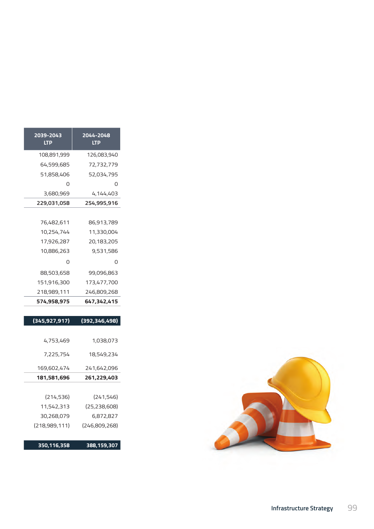| 2044-2048<br><b>LTP</b> | 2039-2043<br><b>LTP</b> |
|-------------------------|-------------------------|
| 126,083,940             | 108,891,999             |
| 72,732,779              | 64,599,685              |
| 52,034,795              | 51,858,406              |
|                         | 0                       |
| 4,144,403               | 3,680,969               |
| 254,995,916             | 229,031,058             |
|                         |                         |
| 86,913,789              | 76,482,611              |
| 11,330,004              | 10,254,744              |
| 20,183,205              | 17,926,287              |
| 9,531,586               | 10,886,263              |
|                         | 0                       |
| 99,096,863              | 88,503,658              |
| 173,477,700             | 151,916,300             |
| 246,809,268             | 218,989,111             |
| 647,342,415             | 574,958,975             |
|                         |                         |

| (392, 346, 498) | (345, 927, 917) |
|-----------------|-----------------|
|                 |                 |
| 1,038,073       | 4,753,469       |
| 18,549,234      | 7,225,754       |
| 241,642,096     | 169,602,474     |
| 261,229,403     | 181,581,696     |
|                 |                 |
| (241, 546)      | (214, 536)      |
| (25, 238, 608)  | 11,542,313      |
| 6,872,827       | 30,268,079      |
| (246,809,268)   | (218,989,111)   |
| 388, 159, 307   | 350,116,358     |

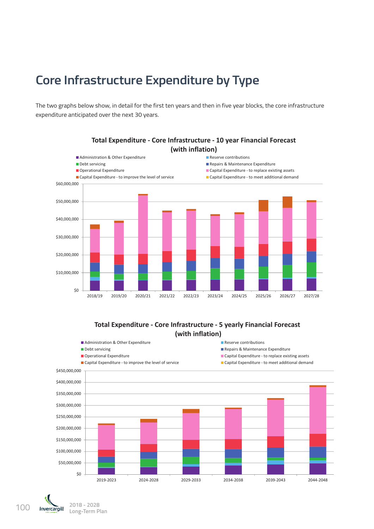## **Core Infrastructure Expenditure by Type**

The two graphs below show, in detail for the first ten years and then in five year blocks, the core infrastructure expenditure anticipated over the next 30 years.



**Total Expenditure ‐ Core Infrastructure ‐ 10 year Financial Forecast (with inflation)**

#### **(with inflation) Total Expenditure ‐ Core Infrastructure ‐ 5 yearly Financial Forecast**  $\overline{\text{V}}$ **(with inflation)**

Administration & Other Expenditure Reserve contributions



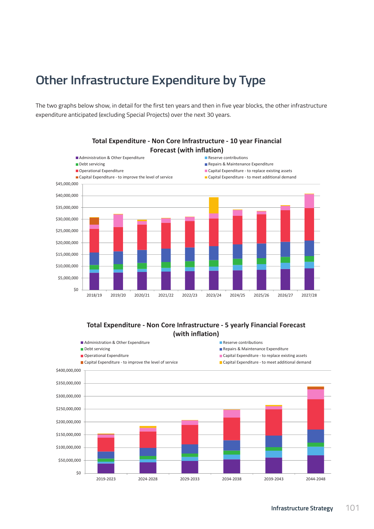## **Other Infrastructure Expenditure by Type**

The two graphs below show, in detail for the first ten years and then in five year blocks, the other infrastructure expenditure anticipated (excluding Special Projects) over the next 30 years.



### **Total Expenditure ‐ Non Core Infrastructure ‐ 10 year Financial Forecast (with inflation)**

### Total Expenditure - Non Core Infrastructure - 5 yearly Financial Forecast Other funding Reserve uplifts Debt funding Grants & Subsidies Revenue Fees & Charges Revenue Rates Required **(with inflation)**

**Funding ‐ Non Core Infrastructure ‐ 10 year Financial Forecast** 

Administration & Other Expenditure Reserve contributions

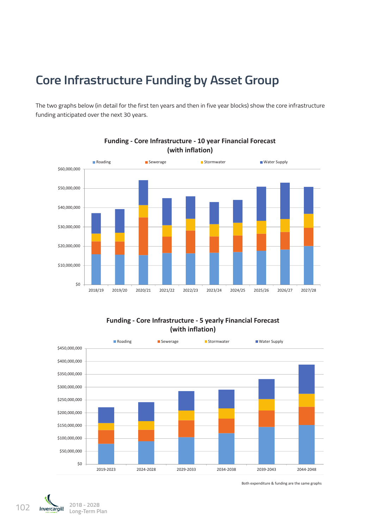## **Core Infrastructure Funding by Asset Group**

The two graphs below (in detail for the first ten years and then in five year blocks) show the core infrastructure funding anticipated over the next 30 years.



### **Funding ‐ Core Infrastructure ‐ 10 year Financial Forecast (with inflation)**

**Funding ‐ Core Infrastructure ‐ 5 yearly Financial Forecast (with inflation)**





Both expenditure & funding are the same graphs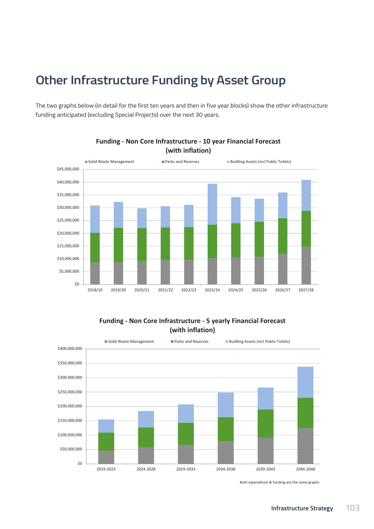## **Other Infrastructure Funding by Asset Group**

The two graphs below (in detail for the first ten years and then in five year blocks) show the other infrastructure funding anticipated (excluding Special Projects) over the next 30 years.



**Funding ‐ Non Core Infrastructure ‐ 10 year Financial Forecast (with inflation)**

#### **Funding Funding ‐ Non Core Infrastructure ‐ 5 yearly Financial Forecast (with inflation)**



Both expenditure & funding are the same graphs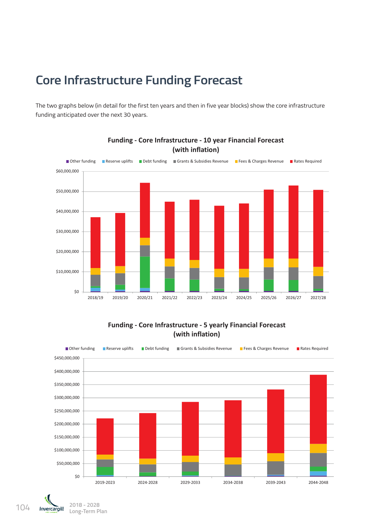## **Core Infrastructure Funding Forecast**

The two graphs below (in detail for the first ten years and then in five year blocks) show the core infrastructure funding anticipated over the next 30 years.



**Funding ‐ Core Infrastructure ‐ 10 year Financial Forecast The Expenditure Core Inflation**) **The Expenditure Core Inflation** 

### **Funding ‐ Core Infrastructure ‐ 5 yearly Financial Forecast (with inflation)**



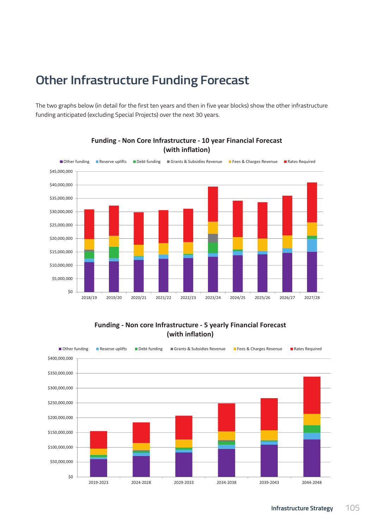## **Other Infrastructure Funding Forecast**

The two graphs below (in detail for the first ten years and then in five year blocks) show the other infrastructure funding anticipated (excluding Special Projects) over the next 30 years.



## **Funding ‐ Non Core Infrastructure ‐ 10 year Financial Forecast The Expenditure Core Inflation**) **The Expenditure Core Inflation**

**Funding ‐ Non core Infrastructure ‐ 5 yearly Financial Forecast (with inflation)**